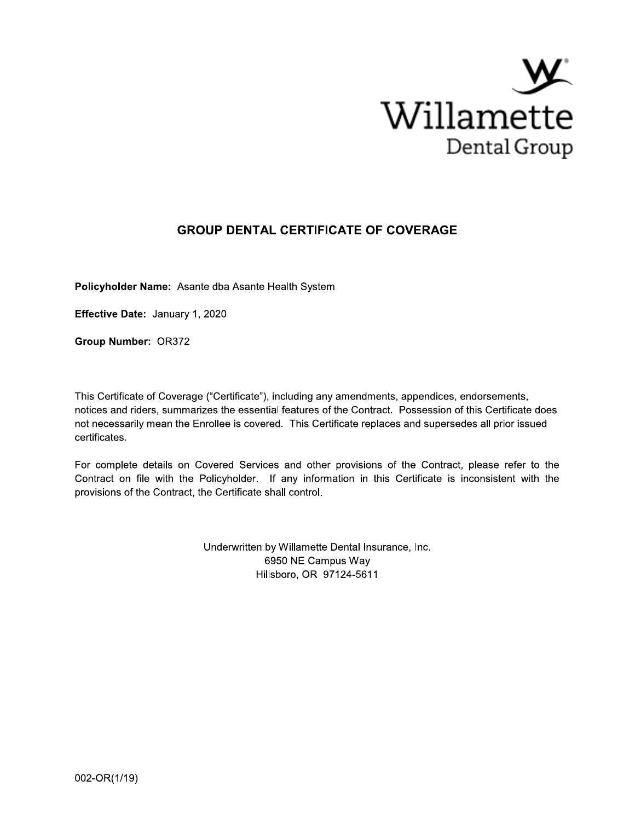

## **GROUP DENTAL CERTIFICATE OF COVERAGE**

Policyholder Name: Asante dba Asante Health System

Effective Date: January 1, 2020

Group Number: OR372

This Certificate of Coverage ("Certificate"), including any amendments, appendices, endorsements, notices and riders, summarizes the essential features of the Contract. Possession of this Certificate does not necessarily mean the Enrollee is covered. This Certificate replaces and supersedes all prior issued certificates.

For complete details on Covered Services and other provisions of the Contract, please refer to the Contract on file with the Policyholder. If any information in this Certificate is inconsistent with the provisions of the Contract, the Certificate shall control.

> Underwritten by Willamette Dental Insurance, Inc. 6950 NE Campus Way Hillsboro, OR 97124-5611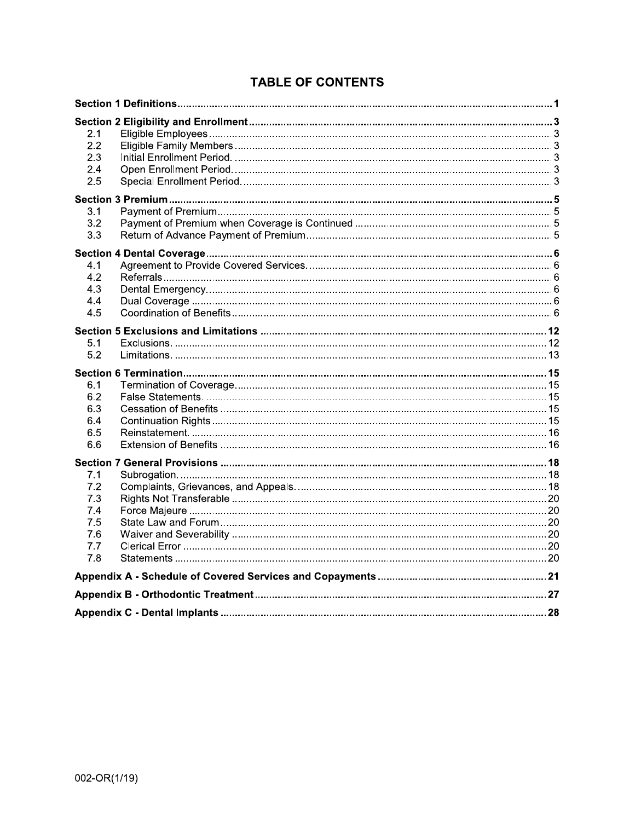|  | <b>TABLE OF CONTENTS</b> |
|--|--------------------------|
|  |                          |

| 2.1<br>2.2<br>2.3<br>2.4<br>2.5 |  |
|---------------------------------|--|
|                                 |  |
| 3.1<br>3.2<br>3.3               |  |
|                                 |  |
| 4.1<br>4.2<br>4.3<br>4.4<br>4.5 |  |
|                                 |  |
| 5.1<br>5.2                      |  |
|                                 |  |
|                                 |  |
| 6.1                             |  |
| 6.2                             |  |
| 6.3                             |  |
| 6.4<br>6.5                      |  |
| 6.6                             |  |
|                                 |  |
| 7.1                             |  |
| 7.2                             |  |
| 7.3                             |  |
| 7.4                             |  |
| 7.5<br>7.6                      |  |
| 7.7                             |  |
| 7.8                             |  |
|                                 |  |
|                                 |  |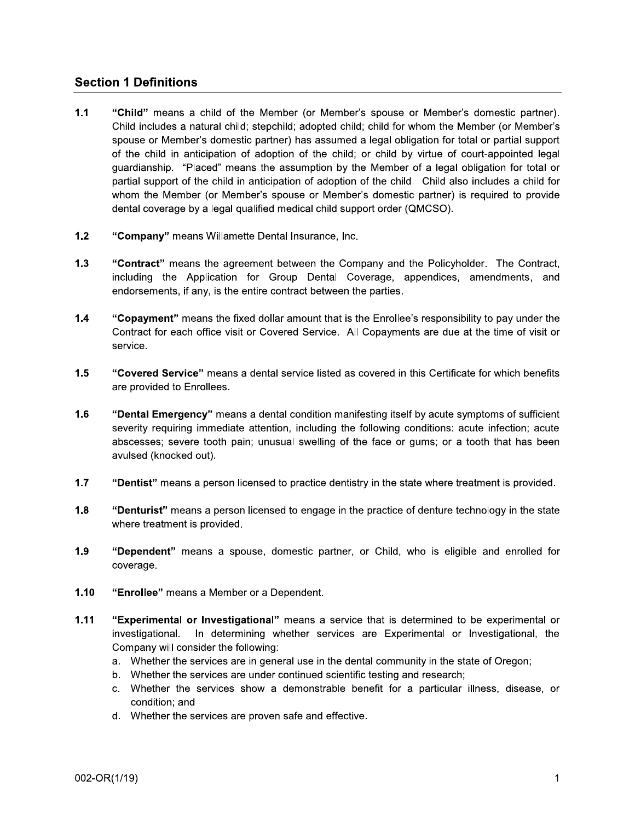## **Section 1 Definitions**

- $1.1$ "Child" means a child of the Member (or Member's spouse or Member's domestic partner). Child includes a natural child; stepchild; adopted child; child for whom the Member (or Member's spouse or Member's domestic partner) has assumed a legal obligation for total or partial support of the child in anticipation of adoption of the child; or child by virtue of court-appointed legal guardianship. "Placed" means the assumption by the Member of a legal obligation for total or partial support of the child in anticipation of adoption of the child. Child also includes a child for whom the Member (or Member's spouse or Member's domestic partner) is required to provide dental coverage by a legal qualified medical child support order (QMCSO).
- $1.2$ "Company" means Willamette Dental Insurance, Inc.
- $1.3$ "Contract" means the agreement between the Company and the Policyholder. The Contract, including the Application for Group Dental Coverage, appendices, amendments, and endorsements, if any, is the entire contract between the parties.
- $1.4$ "Copayment" means the fixed dollar amount that is the Enrollee's responsibility to pay under the Contract for each office visit or Covered Service. All Copayments are due at the time of visit or service.
- $1.5$ "Covered Service" means a dental service listed as covered in this Certificate for which benefits are provided to Enrollees.
- $1.6$ "Dental Emergency" means a dental condition manifesting itself by acute symptoms of sufficient severity requiring immediate attention, including the following conditions: acute infection; acute abscesses; severe tooth pain; unusual swelling of the face or gums; or a tooth that has been avulsed (knocked out).
- $1.7$ "Dentist" means a person licensed to practice dentistry in the state where treatment is provided.
- $1.8$ "Denturist" means a person licensed to engage in the practice of denture technology in the state where treatment is provided.
- $1.9$ "Dependent" means a spouse, domestic partner, or Child, who is eligible and enrolled for coverage.
- $1.10$ "Enrollee" means a Member or a Dependent.
- $1.11$ "Experimental or Investigational" means a service that is determined to be experimental or investigational. In determining whether services are Experimental or Investigational, the Company will consider the following:
	- a. Whether the services are in general use in the dental community in the state of Oregon;
	- b. Whether the services are under continued scientific testing and research;
	- c. Whether the services show a demonstrable benefit for a particular illness, disease, or condition; and
	- d. Whether the services are proven safe and effective.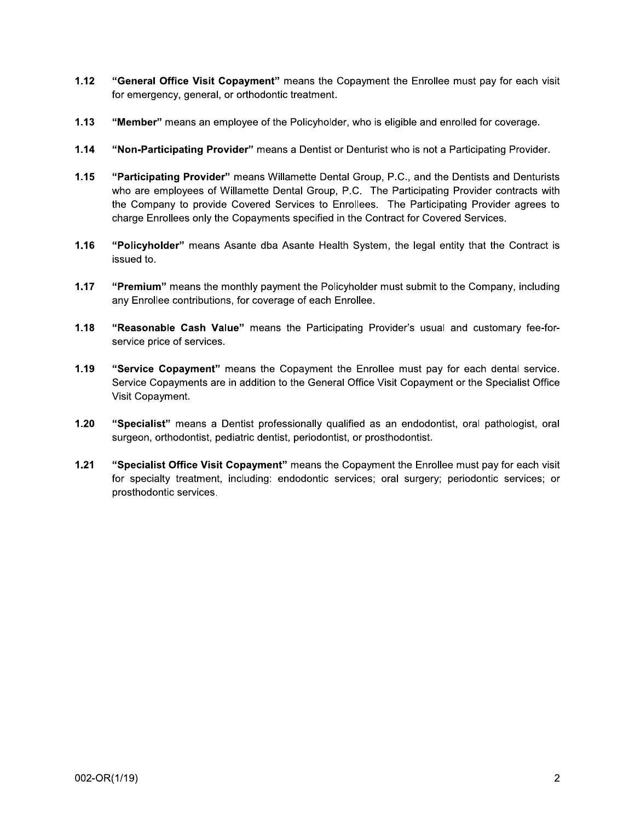- $1.12$ "General Office Visit Copayment" means the Copayment the Enrollee must pay for each visit for emergency, general, or orthodontic treatment.
- $1.13$ "Member" means an employee of the Policyholder, who is eligible and enrolled for coverage.
- $1.14$ "Non-Participating Provider" means a Dentist or Denturist who is not a Participating Provider.
- $1.15$ "Participating Provider" means Willamette Dental Group, P.C., and the Dentists and Denturists who are employees of Willamette Dental Group, P.C. The Participating Provider contracts with the Company to provide Covered Services to Enrollees. The Participating Provider agrees to charge Enrollees only the Copayments specified in the Contract for Covered Services.
- $1.16$ "Policyholder" means Asante dba Asante Health System, the legal entity that the Contract is issued to.
- $1.17$ "Premium" means the monthly payment the Policyholder must submit to the Company, including any Enrollee contributions, for coverage of each Enrollee.
- $1.18$ "Reasonable Cash Value" means the Participating Provider's usual and customary fee-forservice price of services.
- $1.19$ "Service Copayment" means the Copayment the Enrollee must pay for each dental service. Service Copayments are in addition to the General Office Visit Copayment or the Specialist Office Visit Copayment.
- $1.20$ "Specialist" means a Dentist professionally qualified as an endodontist, oral pathologist, oral surgeon, orthodontist, pediatric dentist, periodontist, or prosthodontist.
- $1.21$ "Specialist Office Visit Copayment" means the Copayment the Enrollee must pay for each visit for specialty treatment, including: endodontic services; oral surgery; periodontic services; or prosthodontic services.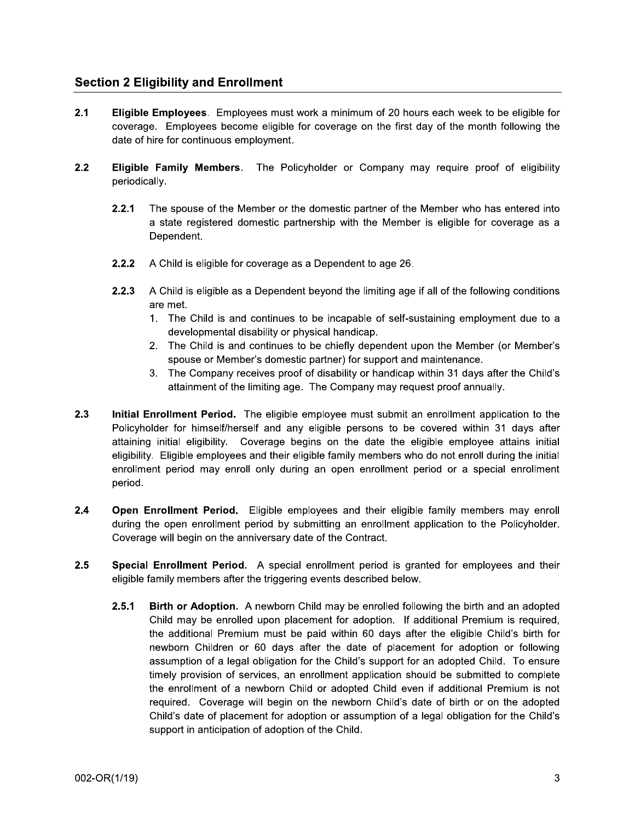## **Section 2 Eligibility and Enrollment**

- $2.1$ **Eligible Employees.** Employees must work a minimum of 20 hours each week to be eligible for coverage. Employees become eligible for coverage on the first day of the month following the date of hire for continuous employment.
- $2.2$ Eligible Family Members. The Policyholder or Company may require proof of eligibility periodically.
	- $2.2.1$ The spouse of the Member or the domestic partner of the Member who has entered into a state registered domestic partnership with the Member is eligible for coverage as a Dependent.
	- $2.2.2$ A Child is eligible for coverage as a Dependent to age 26.
	- $2.2.3$ A Child is eligible as a Dependent beyond the limiting age if all of the following conditions are met.
		- 1. The Child is and continues to be incapable of self-sustaining employment due to a developmental disability or physical handicap.
		- 2. The Child is and continues to be chiefly dependent upon the Member (or Member's spouse or Member's domestic partner) for support and maintenance.
		- 3. The Company receives proof of disability or handicap within 31 days after the Child's attainment of the limiting age. The Company may request proof annually.
- Initial Enrollment Period. The eligible employee must submit an enrollment application to the  $2.3$ Policyholder for himself/herself and any eligible persons to be covered within 31 days after attaining initial eligibility. Coverage begins on the date the eligible employee attains initial eligibility. Eligible employees and their eligible family members who do not enroll during the initial enrollment period may enroll only during an open enrollment period or a special enrollment period.
- $2.4$ Open Enrollment Period. Eligible employees and their eligible family members may enroll during the open enrollment period by submitting an enrollment application to the Policyholder. Coverage will begin on the anniversary date of the Contract.
- $2.5$ Special Enrollment Period. A special enrollment period is granted for employees and their eligible family members after the triggering events described below.
	- $2.5.1$ Birth or Adoption. A newborn Child may be enrolled following the birth and an adopted Child may be enrolled upon placement for adoption. If additional Premium is required, the additional Premium must be paid within 60 days after the eligible Child's birth for newborn Children or 60 days after the date of placement for adoption or following assumption of a legal obligation for the Child's support for an adopted Child. To ensure timely provision of services, an enrollment application should be submitted to complete the enrollment of a newborn Child or adopted Child even if additional Premium is not required. Coverage will begin on the newborn Child's date of birth or on the adopted Child's date of placement for adoption or assumption of a legal obligation for the Child's support in anticipation of adoption of the Child.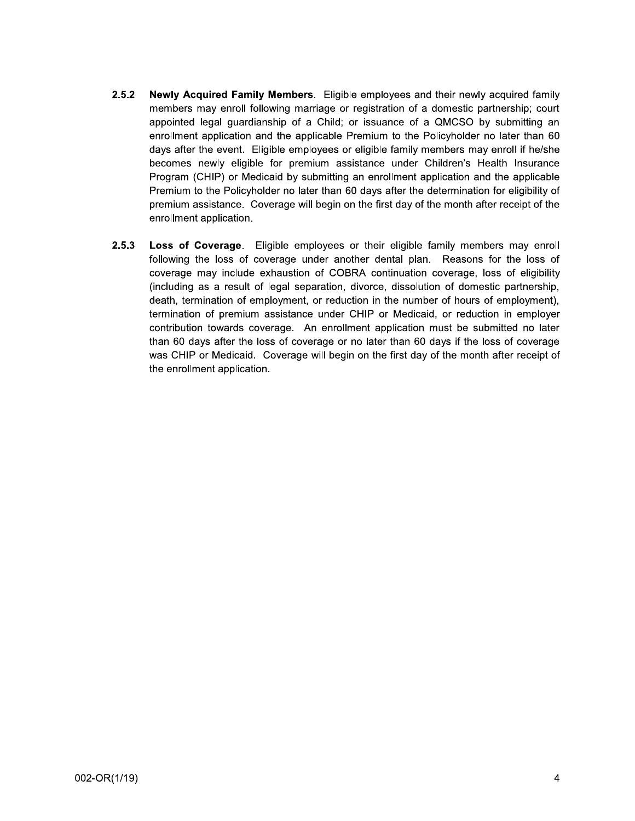- $2.5.2$ Newly Acquired Family Members. Eligible employees and their newly acquired family members may enroll following marriage or registration of a domestic partnership; court appointed legal quardianship of a Child; or issuance of a QMCSO by submitting an enrollment application and the applicable Premium to the Policyholder no later than 60 days after the event. Eligible employees or eligible family members may enroll if he/she becomes newly eligible for premium assistance under Children's Health Insurance Program (CHIP) or Medicaid by submitting an enrollment application and the applicable Premium to the Policyholder no later than 60 days after the determination for eligibility of premium assistance. Coverage will begin on the first day of the month after receipt of the enrollment application.
- $2.5.3$ Loss of Coverage. Eligible employees or their eligible family members may enroll following the loss of coverage under another dental plan. Reasons for the loss of coverage may include exhaustion of COBRA continuation coverage, loss of eligibility (including as a result of legal separation, divorce, dissolution of domestic partnership, death, termination of employment, or reduction in the number of hours of employment), termination of premium assistance under CHIP or Medicaid, or reduction in employer contribution towards coverage. An enrollment application must be submitted no later than 60 days after the loss of coverage or no later than 60 days if the loss of coverage was CHIP or Medicaid. Coverage will begin on the first day of the month after receipt of the enrollment application.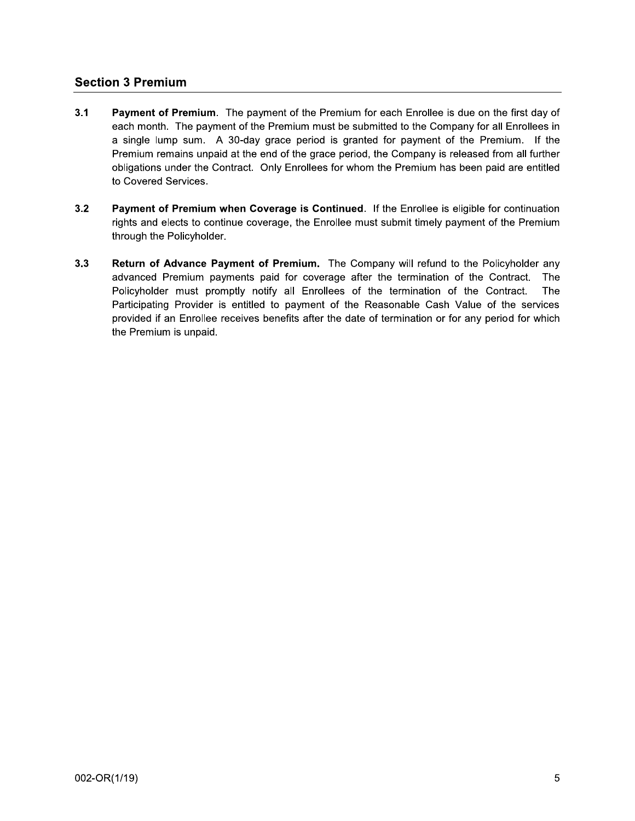## **Section 3 Premium**

- $3.1$ Payment of Premium. The payment of the Premium for each Enrollee is due on the first day of each month. The payment of the Premium must be submitted to the Company for all Enrollees in a single lump sum. A 30-day grace period is granted for payment of the Premium. If the Premium remains unpaid at the end of the grace period, the Company is released from all further obligations under the Contract. Only Enrollees for whom the Premium has been paid are entitled to Covered Services.
- $3.2$ Payment of Premium when Coverage is Continued. If the Enrollee is eligible for continuation rights and elects to continue coverage, the Enrollee must submit timely payment of the Premium through the Policyholder.
- $3.3$ Return of Advance Payment of Premium. The Company will refund to the Policyholder any advanced Premium payments paid for coverage after the termination of the Contract. The Policyholder must promptly notify all Enrollees of the termination of the Contract. The Participating Provider is entitled to payment of the Reasonable Cash Value of the services provided if an Enrollee receives benefits after the date of termination or for any period for which the Premium is unpaid.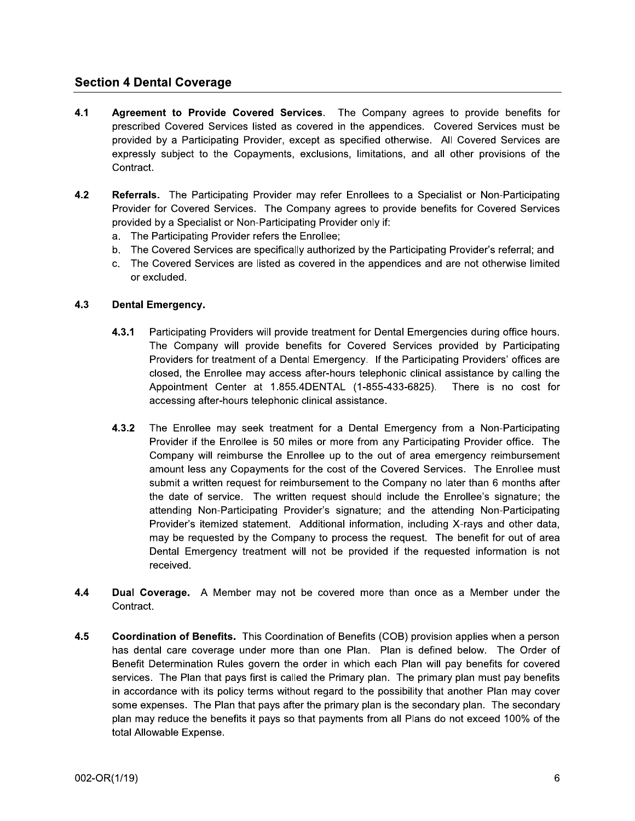## **Section 4 Dental Coverage**

- $4.1$ Agreement to Provide Covered Services. The Company agrees to provide benefits for prescribed Covered Services listed as covered in the appendices. Covered Services must be provided by a Participating Provider, except as specified otherwise. All Covered Services are expressly subject to the Copayments, exclusions, limitations, and all other provisions of the Contract.
- $4.2$ Referrals. The Participating Provider may refer Enrollees to a Specialist or Non-Participating Provider for Covered Services. The Company agrees to provide benefits for Covered Services provided by a Specialist or Non-Participating Provider only if:
	- a. The Participating Provider refers the Enrollee;
	- b. The Covered Services are specifically authorized by the Participating Provider's referral; and
	- c. The Covered Services are listed as covered in the appendices and are not otherwise limited or excluded.

#### **Dental Emergency.**  $4.3$

- Participating Providers will provide treatment for Dental Emergencies during office hours.  $4.3.1$ The Company will provide benefits for Covered Services provided by Participating Providers for treatment of a Dental Emergency. If the Participating Providers' offices are closed, the Enrollee may access after-hours telephonic clinical assistance by calling the Appointment Center at 1.855.4DENTAL (1-855-433-6825). There is no cost for accessing after-hours telephonic clinical assistance.
- $4.3.2$ The Enrollee may seek treatment for a Dental Emergency from a Non-Participating Provider if the Enrollee is 50 miles or more from any Participating Provider office. The Company will reimburse the Enrollee up to the out of area emergency reimbursement amount less any Copayments for the cost of the Covered Services. The Enrollee must submit a written request for reimbursement to the Company no later than 6 months after the date of service. The written request should include the Enrollee's signature; the attending Non-Participating Provider's signature; and the attending Non-Participating Provider's itemized statement. Additional information, including X-rays and other data, may be requested by the Company to process the request. The benefit for out of area Dental Emergency treatment will not be provided if the requested information is not received.
- 4.4 Dual Coverage. A Member may not be covered more than once as a Member under the Contract.
- $4.5$ Coordination of Benefits. This Coordination of Benefits (COB) provision applies when a person has dental care coverage under more than one Plan. Plan is defined below. The Order of Benefit Determination Rules govern the order in which each Plan will pay benefits for covered services. The Plan that pays first is called the Primary plan. The primary plan must pay benefits in accordance with its policy terms without regard to the possibility that another Plan may cover some expenses. The Plan that pays after the primary plan is the secondary plan. The secondary plan may reduce the benefits it pays so that payments from all Plans do not exceed 100% of the total Allowable Expense.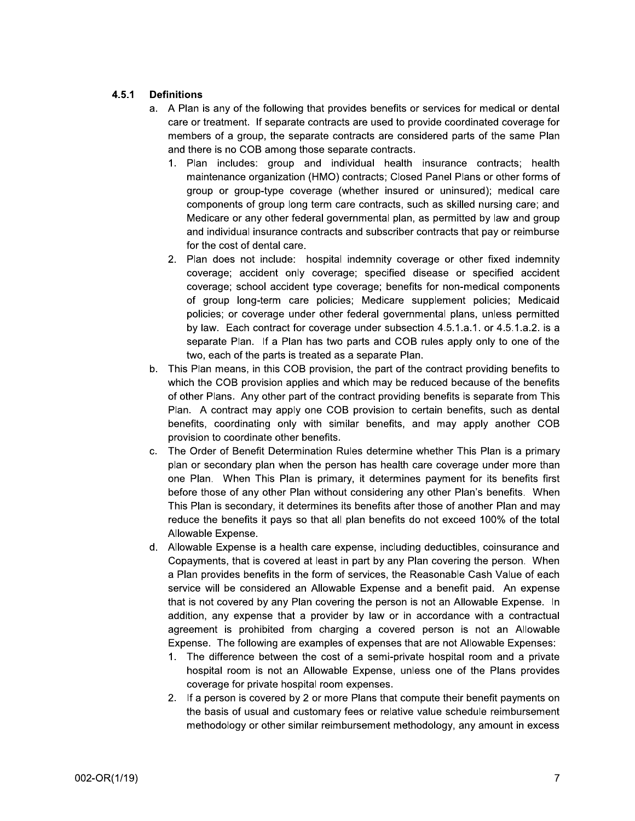#### $4.5.1$ **Definitions**

- a. A Plan is any of the following that provides benefits or services for medical or dental care or treatment. If separate contracts are used to provide coordinated coverage for members of a group, the separate contracts are considered parts of the same Plan and there is no COB among those separate contracts.
	- 1. Plan includes: group and individual health insurance contracts; health maintenance organization (HMO) contracts; Closed Panel Plans or other forms of group or group-type coverage (whether insured or uninsured); medical care components of group long term care contracts, such as skilled nursing care; and Medicare or any other federal governmental plan, as permitted by law and group and individual insurance contracts and subscriber contracts that pay or reimburse for the cost of dental care.
	- 2. Plan does not include: hospital indemnity coverage or other fixed indemnity coverage; accident only coverage; specified disease or specified accident coverage; school accident type coverage; benefits for non-medical components of group long-term care policies; Medicare supplement policies; Medicaid policies; or coverage under other federal governmental plans, unless permitted by law. Each contract for coverage under subsection 4.5.1.a.1. or 4.5.1.a.2. is a separate Plan. If a Plan has two parts and COB rules apply only to one of the two, each of the parts is treated as a separate Plan.
- b. This Plan means, in this COB provision, the part of the contract providing benefits to which the COB provision applies and which may be reduced because of the benefits of other Plans. Any other part of the contract providing benefits is separate from This Plan. A contract may apply one COB provision to certain benefits, such as dental benefits, coordinating only with similar benefits, and may apply another COB provision to coordinate other benefits.
- The Order of Benefit Determination Rules determine whether This Plan is a primary c. plan or secondary plan when the person has health care coverage under more than one Plan. When This Plan is primary, it determines payment for its benefits first before those of any other Plan without considering any other Plan's benefits. When This Plan is secondary, it determines its benefits after those of another Plan and may reduce the benefits it pays so that all plan benefits do not exceed 100% of the total Allowable Expense.
- d. Allowable Expense is a health care expense, including deductibles, coinsurance and Copayments, that is covered at least in part by any Plan covering the person. When a Plan provides benefits in the form of services, the Reasonable Cash Value of each service will be considered an Allowable Expense and a benefit paid. An expense that is not covered by any Plan covering the person is not an Allowable Expense. In addition, any expense that a provider by law or in accordance with a contractual agreement is prohibited from charging a covered person is not an Allowable Expense. The following are examples of expenses that are not Allowable Expenses:
	- 1. The difference between the cost of a semi-private hospital room and a private hospital room is not an Allowable Expense, unless one of the Plans provides coverage for private hospital room expenses.
	- 2. If a person is covered by 2 or more Plans that compute their benefit payments on the basis of usual and customary fees or relative value schedule reimbursement methodology or other similar reimbursement methodology, any amount in excess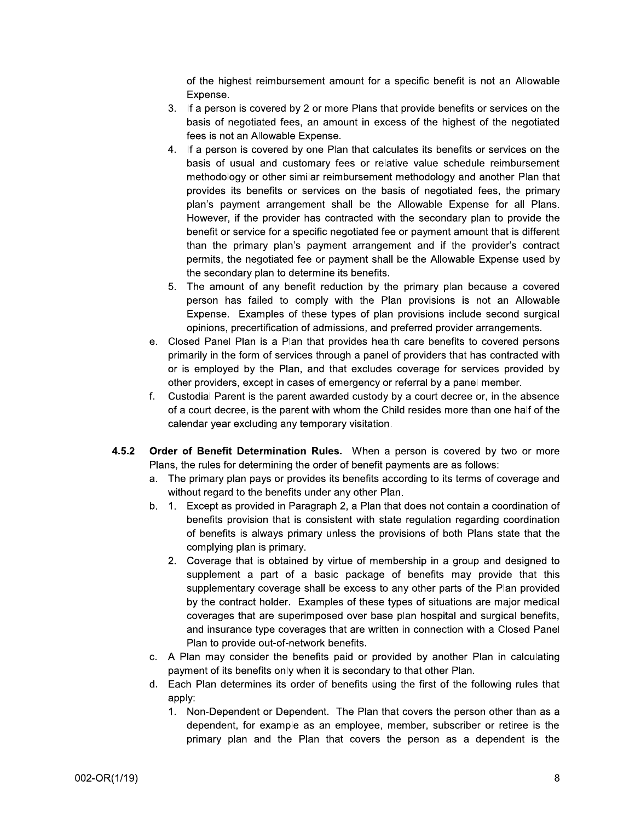of the highest reimbursement amount for a specific benefit is not an Allowable Expense.

- 3. If a person is covered by 2 or more Plans that provide benefits or services on the basis of negotiated fees, an amount in excess of the highest of the negotiated fees is not an Allowable Expense.
- 4. If a person is covered by one Plan that calculates its benefits or services on the basis of usual and customary fees or relative value schedule reimbursement methodology or other similar reimbursement methodology and another Plan that provides its benefits or services on the basis of negotiated fees, the primary plan's payment arrangement shall be the Allowable Expense for all Plans. However, if the provider has contracted with the secondary plan to provide the benefit or service for a specific negotiated fee or payment amount that is different than the primary plan's payment arrangement and if the provider's contract permits, the negotiated fee or payment shall be the Allowable Expense used by the secondary plan to determine its benefits.
- 5. The amount of any benefit reduction by the primary plan because a covered person has failed to comply with the Plan provisions is not an Allowable Expense. Examples of these types of plan provisions include second surgical opinions, precertification of admissions, and preferred provider arrangements.
- e. Closed Panel Plan is a Plan that provides health care benefits to covered persons primarily in the form of services through a panel of providers that has contracted with or is employed by the Plan, and that excludes coverage for services provided by other providers, except in cases of emergency or referral by a panel member.
- $f_{\cdot}$ Custodial Parent is the parent awarded custody by a court decree or, in the absence of a court decree, is the parent with whom the Child resides more than one half of the calendar year excluding any temporary visitation.
- $4.5.2$ Order of Benefit Determination Rules. When a person is covered by two or more Plans, the rules for determining the order of benefit payments are as follows:
	- a. The primary plan pays or provides its benefits according to its terms of coverage and without regard to the benefits under any other Plan.
	- b. 1. Except as provided in Paragraph 2, a Plan that does not contain a coordination of benefits provision that is consistent with state regulation regarding coordination of benefits is always primary unless the provisions of both Plans state that the complying plan is primary.
		- 2. Coverage that is obtained by virtue of membership in a group and designed to supplement a part of a basic package of benefits may provide that this supplementary coverage shall be excess to any other parts of the Plan provided by the contract holder. Examples of these types of situations are major medical coverages that are superimposed over base plan hospital and surgical benefits, and insurance type coverages that are written in connection with a Closed Panel Plan to provide out-of-network benefits.
	- c. A Plan may consider the benefits paid or provided by another Plan in calculating payment of its benefits only when it is secondary to that other Plan.
	- Each Plan determines its order of benefits using the first of the following rules that d. apply:
		- 1. Non-Dependent or Dependent. The Plan that covers the person other than as a dependent, for example as an employee, member, subscriber or retiree is the primary plan and the Plan that covers the person as a dependent is the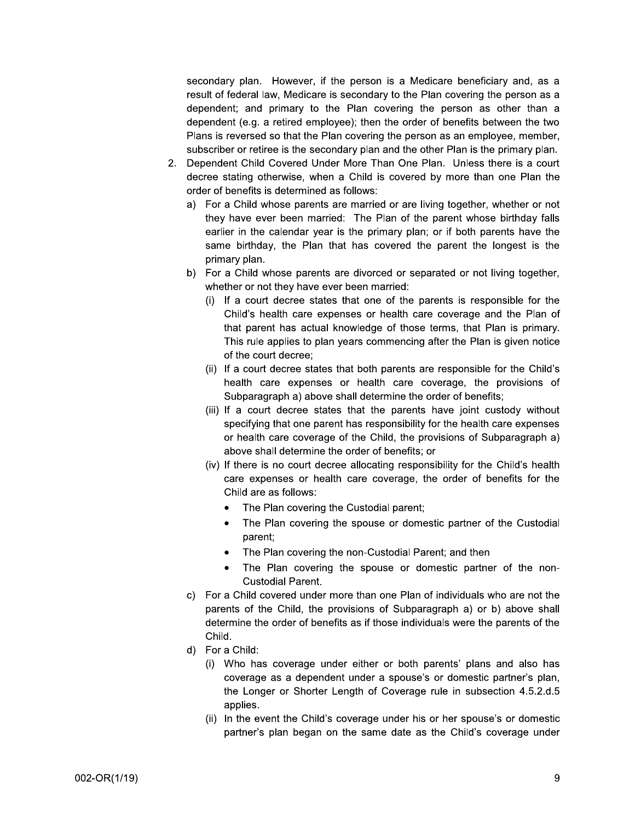secondary plan. However, if the person is a Medicare beneficiary and, as a result of federal law, Medicare is secondary to the Plan covering the person as a dependent; and primary to the Plan covering the person as other than a dependent (e.g. a retired employee); then the order of benefits between the two Plans is reversed so that the Plan covering the person as an employee, member, subscriber or retiree is the secondary plan and the other Plan is the primary plan.

- Dependent Child Covered Under More Than One Plan. Unless there is a court  $2.$ decree stating otherwise, when a Child is covered by more than one Plan the order of benefits is determined as follows:
	- a) For a Child whose parents are married or are living together, whether or not they have ever been married: The Plan of the parent whose birthday falls earlier in the calendar year is the primary plan; or if both parents have the same birthday, the Plan that has covered the parent the longest is the primary plan.
	- b) For a Child whose parents are divorced or separated or not living together, whether or not they have ever been married:
		- (i) If a court decree states that one of the parents is responsible for the Child's health care expenses or health care coverage and the Plan of that parent has actual knowledge of those terms, that Plan is primary. This rule applies to plan years commencing after the Plan is given notice of the court decree;
		- (ii) If a court decree states that both parents are responsible for the Child's health care expenses or health care coverage, the provisions of Subparagraph a) above shall determine the order of benefits;
		- (iii) If a court decree states that the parents have joint custody without specifying that one parent has responsibility for the health care expenses or health care coverage of the Child, the provisions of Subparagraph a) above shall determine the order of benefits; or
		- (iv) If there is no court decree allocating responsibility for the Child's health care expenses or health care coverage, the order of benefits for the Child are as follows:
			- The Plan covering the Custodial parent;
			- The Plan covering the spouse or domestic partner of the Custodial parent;
			- The Plan covering the non-Custodial Parent; and then
			- The Plan covering the spouse or domestic partner of the non-**Custodial Parent.**
	- c) For a Child covered under more than one Plan of individuals who are not the parents of the Child, the provisions of Subparagraph a) or b) above shall determine the order of benefits as if those individuals were the parents of the Child.
	- d) For a Child:
		- (i) Who has coverage under either or both parents' plans and also has coverage as a dependent under a spouse's or domestic partner's plan, the Longer or Shorter Length of Coverage rule in subsection 4.5.2.d.5 applies.
		- (ii) In the event the Child's coverage under his or her spouse's or domestic partner's plan began on the same date as the Child's coverage under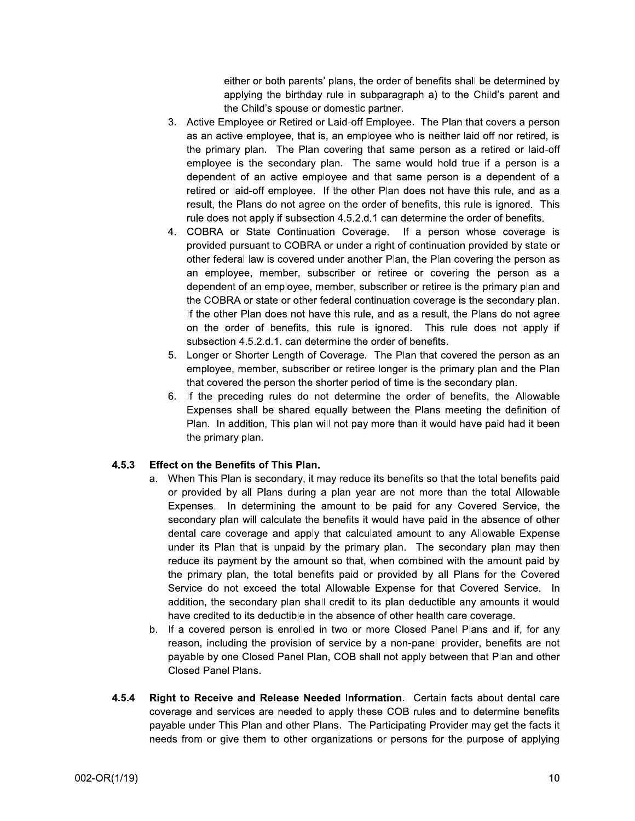either or both parents' plans, the order of benefits shall be determined by applying the birthday rule in subparagraph a) to the Child's parent and the Child's spouse or domestic partner.

- 3. Active Employee or Retired or Laid-off Employee. The Plan that covers a person as an active employee, that is, an employee who is neither laid off nor retired, is the primary plan. The Plan covering that same person as a retired or laid-off employee is the secondary plan. The same would hold true if a person is a dependent of an active employee and that same person is a dependent of a retired or laid-off employee. If the other Plan does not have this rule, and as a result, the Plans do not agree on the order of benefits, this rule is ignored. This rule does not apply if subsection 4.5.2.d.1 can determine the order of benefits.
- 4. COBRA or State Continuation Coverage. If a person whose coverage is provided pursuant to COBRA or under a right of continuation provided by state or other federal law is covered under another Plan, the Plan covering the person as an employee, member, subscriber or retiree or covering the person as a dependent of an employee, member, subscriber or retiree is the primary plan and the COBRA or state or other federal continuation coverage is the secondary plan. If the other Plan does not have this rule, and as a result, the Plans do not agree on the order of benefits, this rule is ignored. This rule does not apply if subsection 4.5.2.d.1. can determine the order of benefits.
- 5. Longer or Shorter Length of Coverage. The Plan that covered the person as an employee, member, subscriber or retiree longer is the primary plan and the Plan that covered the person the shorter period of time is the secondary plan.
- 6. If the preceding rules do not determine the order of benefits, the Allowable Expenses shall be shared equally between the Plans meeting the definition of Plan. In addition, This plan will not pay more than it would have paid had it been the primary plan.

#### $4.5.3$ **Effect on the Benefits of This Plan.**

- a. When This Plan is secondary, it may reduce its benefits so that the total benefits paid or provided by all Plans during a plan year are not more than the total Allowable Expenses. In determining the amount to be paid for any Covered Service, the secondary plan will calculate the benefits it would have paid in the absence of other dental care coverage and apply that calculated amount to any Allowable Expense under its Plan that is unpaid by the primary plan. The secondary plan may then reduce its payment by the amount so that, when combined with the amount paid by the primary plan, the total benefits paid or provided by all Plans for the Covered Service do not exceed the total Allowable Expense for that Covered Service. In addition, the secondary plan shall credit to its plan deductible any amounts it would have credited to its deductible in the absence of other health care coverage.
- b. If a covered person is enrolled in two or more Closed Panel Plans and if, for any reason, including the provision of service by a non-panel provider, benefits are not payable by one Closed Panel Plan, COB shall not apply between that Plan and other **Closed Panel Plans.**
- $4.5.4$ Right to Receive and Release Needed Information. Certain facts about dental care coverage and services are needed to apply these COB rules and to determine benefits payable under This Plan and other Plans. The Participating Provider may get the facts it needs from or give them to other organizations or persons for the purpose of applying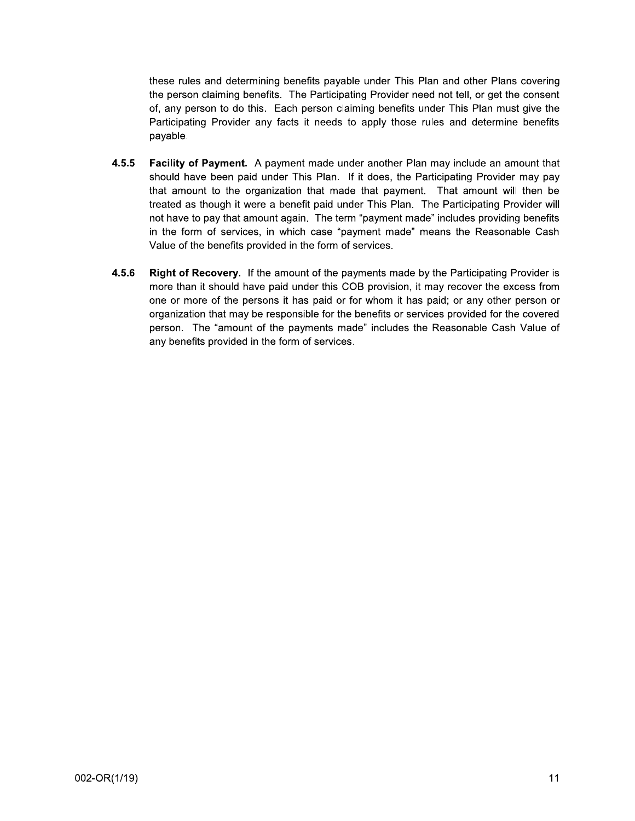these rules and determining benefits payable under This Plan and other Plans covering the person claiming benefits. The Participating Provider need not tell, or get the consent of, any person to do this. Each person claiming benefits under This Plan must give the Participating Provider any facts it needs to apply those rules and determine benefits payable.

- $4.5.5$ Facility of Payment. A payment made under another Plan may include an amount that should have been paid under This Plan. If it does, the Participating Provider may pay that amount to the organization that made that payment. That amount will then be treated as though it were a benefit paid under This Plan. The Participating Provider will not have to pay that amount again. The term "payment made" includes providing benefits in the form of services, in which case "payment made" means the Reasonable Cash Value of the benefits provided in the form of services.
- $4.5.6$ Right of Recovery. If the amount of the payments made by the Participating Provider is more than it should have paid under this COB provision, it may recover the excess from one or more of the persons it has paid or for whom it has paid; or any other person or organization that may be responsible for the benefits or services provided for the covered person. The "amount of the payments made" includes the Reasonable Cash Value of any benefits provided in the form of services.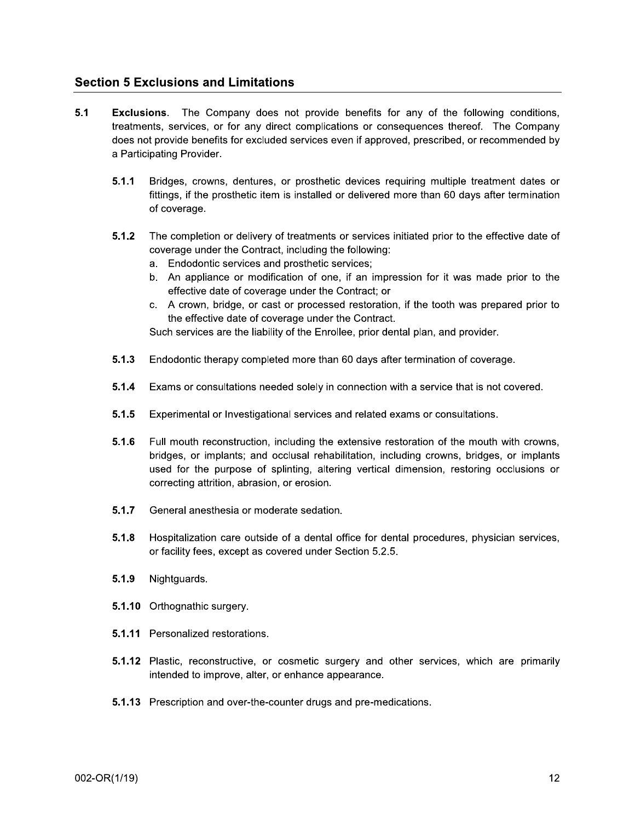## **Section 5 Exclusions and Limitations**

- $5.1$ **Exclusions.** The Company does not provide benefits for any of the following conditions, treatments, services, or for any direct complications or consequences thereof. The Company does not provide benefits for excluded services even if approved, prescribed, or recommended by a Participating Provider.
	- $5.1.1$ Bridges, crowns, dentures, or prosthetic devices requiring multiple treatment dates or fittings, if the prosthetic item is installed or delivered more than 60 days after termination of coverage.
	- The completion or delivery of treatments or services initiated prior to the effective date of  $5.1.2$ coverage under the Contract, including the following:
		- a. Endodontic services and prosthetic services;
		- b. An appliance or modification of one, if an impression for it was made prior to the effective date of coverage under the Contract; or
		- c. A crown, bridge, or cast or processed restoration, if the tooth was prepared prior to the effective date of coverage under the Contract.

Such services are the liability of the Enrollee, prior dental plan, and provider.

- $5.1.3$ Endodontic therapy completed more than 60 days after termination of coverage.
- $5.1.4$ Exams or consultations needed solely in connection with a service that is not covered.
- $5.1.5$ Experimental or Investigational services and related exams or consultations.
- $5.1.6$ Full mouth reconstruction, including the extensive restoration of the mouth with crowns, bridges, or implants; and occlusal rehabilitation, including crowns, bridges, or implants used for the purpose of splinting, altering vertical dimension, restoring occlusions or correcting attrition, abrasion, or erosion.
- $5.1.7$ General anesthesia or moderate sedation.
- $5.1.8$ Hospitalization care outside of a dental office for dental procedures, physician services, or facility fees, except as covered under Section 5.2.5.
- $5.1.9$ Nightguards.
- 5.1.10 Orthognathic surgery.
- 5.1.11 Personalized restorations.
- 5.1.12 Plastic, reconstructive, or cosmetic surgery and other services, which are primarily intended to improve, alter, or enhance appearance.
- 5.1.13 Prescription and over-the-counter drugs and pre-medications.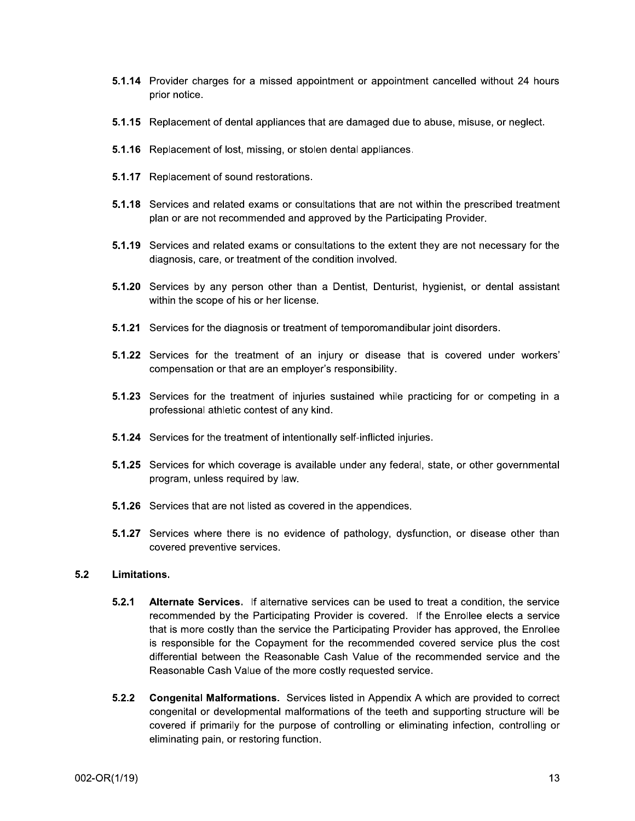- 5.1.14 Provider charges for a missed appointment or appointment cancelled without 24 hours prior notice.
- 5.1.15 Replacement of dental appliances that are damaged due to abuse, misuse, or neglect.
- 5.1.16 Replacement of lost, missing, or stolen dental appliances.
- 5.1.17 Replacement of sound restorations.
- 5.1.18 Services and related exams or consultations that are not within the prescribed treatment plan or are not recommended and approved by the Participating Provider.
- 5.1.19 Services and related exams or consultations to the extent they are not necessary for the diagnosis, care, or treatment of the condition involved.
- 5.1.20 Services by any person other than a Dentist, Denturist, hygienist, or dental assistant within the scope of his or her license.
- **5.1.21** Services for the diagnosis or treatment of temporomandibular joint disorders.
- 5.1.22 Services for the treatment of an injury or disease that is covered under workers' compensation or that are an employer's responsibility.
- 5.1.23 Services for the treatment of injuries sustained while practicing for or competing in a professional athletic contest of any kind.
- 5.1.24 Services for the treatment of intentionally self-inflicted injuries.
- 5.1.25 Services for which coverage is available under any federal, state, or other governmental program, unless required by law.
- **5.1.26** Services that are not listed as covered in the appendices.
- 5.1.27 Services where there is no evidence of pathology, dysfunction, or disease other than covered preventive services.

#### $5.2$ Limitations.

- $5.2.1$ Alternate Services. If alternative services can be used to treat a condition, the service recommended by the Participating Provider is covered. If the Enrollee elects a service that is more costly than the service the Participating Provider has approved, the Enrollee is responsible for the Copayment for the recommended covered service plus the cost differential between the Reasonable Cash Value of the recommended service and the Reasonable Cash Value of the more costly requested service.
- $5.2.2$ **Congenital Malformations.** Services listed in Appendix A which are provided to correct congenital or developmental malformations of the teeth and supporting structure will be covered if primarily for the purpose of controlling or eliminating infection, controlling or eliminating pain, or restoring function.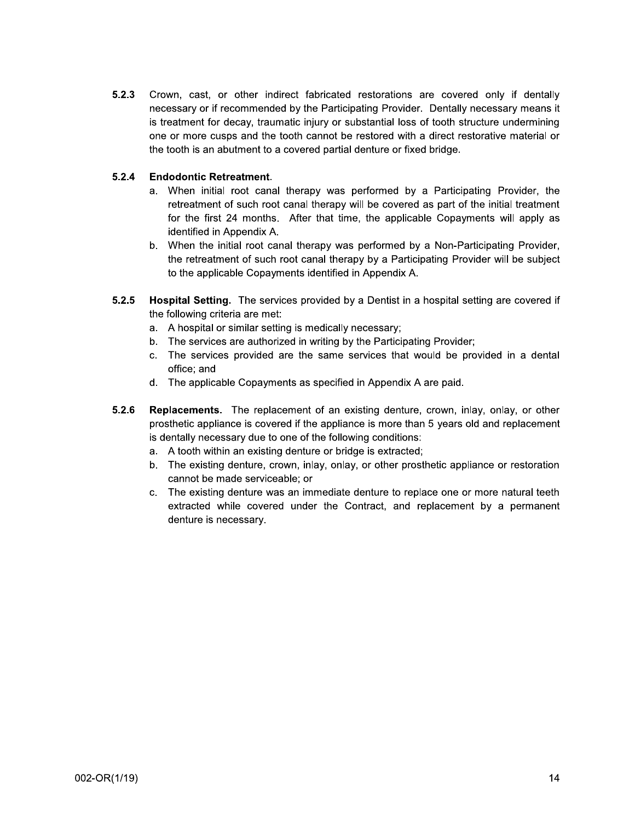$5.2.3$ Crown, cast, or other indirect fabricated restorations are covered only if dentally necessary or if recommended by the Participating Provider. Dentally necessary means it is treatment for decay, traumatic injury or substantial loss of tooth structure undermining one or more cusps and the tooth cannot be restored with a direct restorative material or the tooth is an abutment to a covered partial denture or fixed bridge.

#### $5.2.4$ **Endodontic Retreatment.**

- a. When initial root canal therapy was performed by a Participating Provider, the retreatment of such root canal therapy will be covered as part of the initial treatment for the first 24 months. After that time, the applicable Copayments will apply as identified in Appendix A.
- b. When the initial root canal therapy was performed by a Non-Participating Provider, the retreatment of such root canal therapy by a Participating Provider will be subject to the applicable Copayments identified in Appendix A.
- $5.2.5$ **Hospital Setting.** The services provided by a Dentist in a hospital setting are covered if the following criteria are met:
	- a. A hospital or similar setting is medically necessary;
	- b. The services are authorized in writing by the Participating Provider;
	- c. The services provided are the same services that would be provided in a dental office: and
	- d. The applicable Copayments as specified in Appendix A are paid.
- $5.2.6$ **Replacements.** The replacement of an existing denture, crown, inlay, onlay, or other prosthetic appliance is covered if the appliance is more than 5 years old and replacement is dentally necessary due to one of the following conditions:
	- a. A tooth within an existing denture or bridge is extracted;
	- b. The existing denture, crown, inlay, onlay, or other prosthetic appliance or restoration cannot be made serviceable; or
	- c. The existing denture was an immediate denture to replace one or more natural teeth extracted while covered under the Contract, and replacement by a permanent denture is necessary.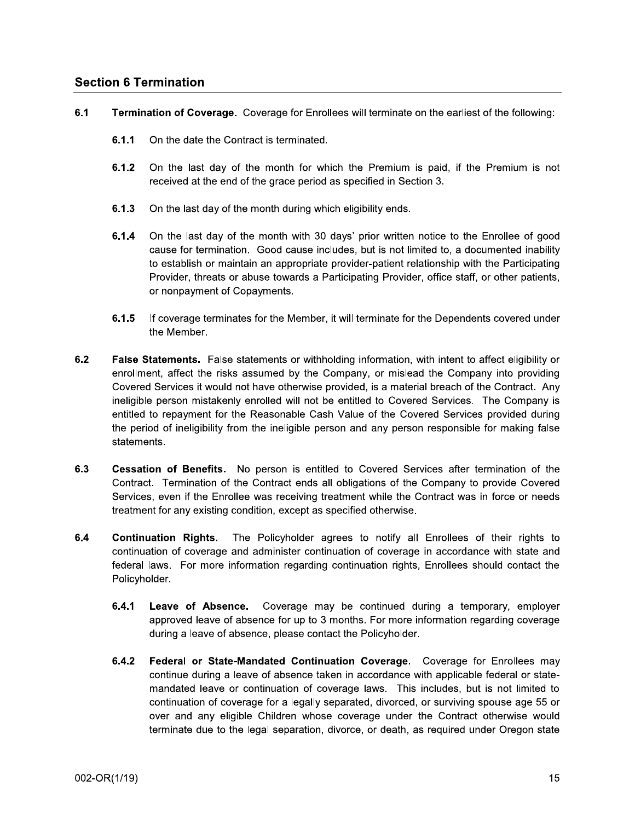## **Section 6 Termination**

- $6.1$ Termination of Coverage. Coverage for Enrollees will terminate on the earliest of the following:
	- $6.1.1$ On the date the Contract is terminated.
	- $6.1.2$ On the last day of the month for which the Premium is paid, if the Premium is not received at the end of the grace period as specified in Section 3.
	- $6.1.3$ On the last day of the month during which eligibility ends.
	- $6.1.4$ On the last day of the month with 30 days' prior written notice to the Enrollee of good cause for termination. Good cause includes, but is not limited to, a documented inability to establish or maintain an appropriate provider-patient relationship with the Participating Provider, threats or abuse towards a Participating Provider, office staff, or other patients, or nonpayment of Copayments.
	- $6.1.5$ If coverage terminates for the Member, it will terminate for the Dependents covered under the Member.
- $6.2$ False Statements. False statements or withholding information, with intent to affect eligibility or enrollment, affect the risks assumed by the Company, or mislead the Company into providing Covered Services it would not have otherwise provided, is a material breach of the Contract. Any ineligible person mistakenly enrolled will not be entitled to Covered Services. The Company is entitled to repayment for the Reasonable Cash Value of the Covered Services provided during the period of ineligibility from the ineligible person and any person responsible for making false statements.
- $6.3$ Cessation of Benefits. No person is entitled to Covered Services after termination of the Contract. Termination of the Contract ends all obligations of the Company to provide Covered Services, even if the Enrollee was receiving treatment while the Contract was in force or needs treatment for any existing condition, except as specified otherwise.
- $6.4$ Continuation Rights. The Policyholder agrees to notify all Enrollees of their rights to continuation of coverage and administer continuation of coverage in accordance with state and federal laws. For more information regarding continuation rights, Enrollees should contact the Policyholder.
	- $6.4.1$ Leave of Absence. Coverage may be continued during a temporary, employer approved leave of absence for up to 3 months. For more information regarding coverage during a leave of absence, please contact the Policyholder.
	- $6.4.2$ Federal or State-Mandated Continuation Coverage. Coverage for Enrollees may continue during a leave of absence taken in accordance with applicable federal or statemandated leave or continuation of coverage laws. This includes, but is not limited to continuation of coverage for a legally separated, divorced, or surviving spouse age 55 or over and any eligible Children whose coverage under the Contract otherwise would terminate due to the legal separation, divorce, or death, as required under Oregon state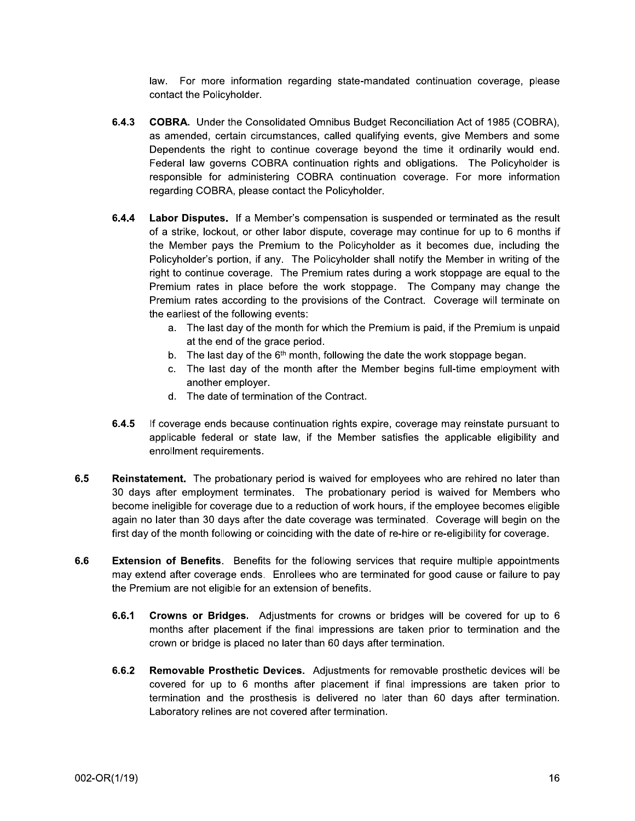law. For more information regarding state-mandated continuation coverage, please contact the Policyholder.

- $6.4.3$ **COBRA.** Under the Consolidated Omnibus Budget Reconciliation Act of 1985 (COBRA). as amended, certain circumstances, called qualifying events, give Members and some Dependents the right to continue coverage beyond the time it ordinarily would end. Federal law governs COBRA continuation rights and obligations. The Policyholder is responsible for administering COBRA continuation coverage. For more information regarding COBRA, please contact the Policyholder.
- $6.4.4$ Labor Disputes. If a Member's compensation is suspended or terminated as the result of a strike, lockout, or other labor dispute, coverage may continue for up to 6 months if the Member pays the Premium to the Policyholder as it becomes due, including the Policyholder's portion, if any. The Policyholder shall notify the Member in writing of the right to continue coverage. The Premium rates during a work stoppage are equal to the Premium rates in place before the work stoppage. The Company may change the Premium rates according to the provisions of the Contract. Coverage will terminate on the earliest of the following events:
	- a. The last day of the month for which the Premium is paid, if the Premium is unpaid at the end of the grace period.
	- b. The last day of the  $6<sup>th</sup>$  month, following the date the work stoppage began.
	- c. The last day of the month after the Member begins full-time employment with another employer.
	- d. The date of termination of the Contract.
- $6.4.5$ If coverage ends because continuation rights expire, coverage may reinstate pursuant to applicable federal or state law, if the Member satisfies the applicable eligibility and enrollment requirements.
- $6.5$ Reinstatement. The probationary period is waived for employees who are rehired no later than 30 days after employment terminates. The probationary period is waived for Members who become ineligible for coverage due to a reduction of work hours, if the employee becomes eligible again no later than 30 days after the date coverage was terminated. Coverage will begin on the first day of the month following or coinciding with the date of re-hire or re-eligibility for coverage.
- $6.6$ **Extension of Benefits.** Benefits for the following services that require multiple appointments may extend after coverage ends. Enrollees who are terminated for good cause or failure to pay the Premium are not eligible for an extension of benefits.
	- Crowns or Bridges. Adjustments for crowns or bridges will be covered for up to 6  $6.6.1$ months after placement if the final impressions are taken prior to termination and the crown or bridge is placed no later than 60 days after termination.
	- $6.6.2$ **Removable Prosthetic Devices.** Adjustments for removable prosthetic devices will be covered for up to 6 months after placement if final impressions are taken prior to termination and the prosthesis is delivered no later than 60 days after termination. Laboratory relines are not covered after termination.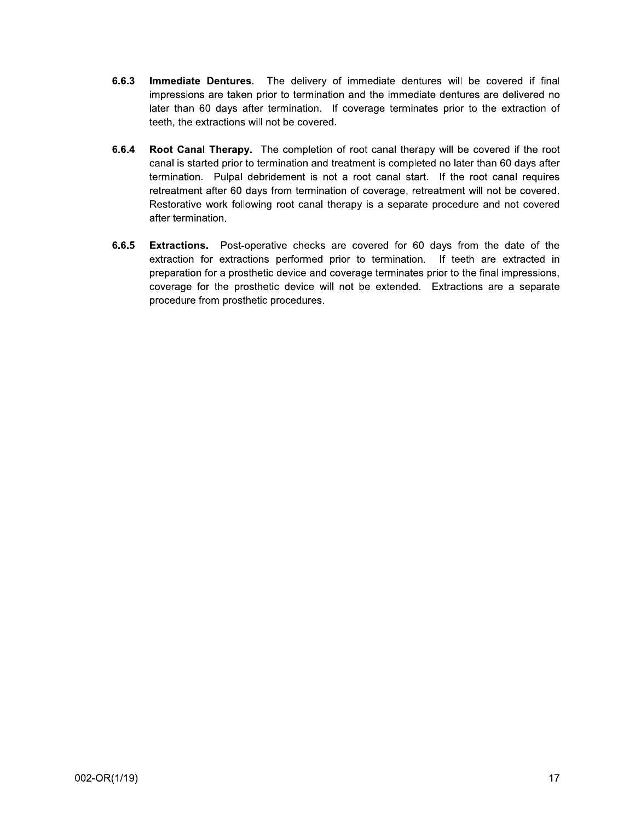- $6.6.3$ Immediate Dentures. The delivery of immediate dentures will be covered if final impressions are taken prior to termination and the immediate dentures are delivered no later than 60 days after termination. If coverage terminates prior to the extraction of teeth, the extractions will not be covered.
- 6.6.4 Root Canal Therapy. The completion of root canal therapy will be covered if the root canal is started prior to termination and treatment is completed no later than 60 days after termination. Pulpal debridement is not a root canal start. If the root canal requires retreatment after 60 days from termination of coverage, retreatment will not be covered. Restorative work following root canal therapy is a separate procedure and not covered after termination.
- $6.6.5$ Extractions. Post-operative checks are covered for 60 days from the date of the extraction for extractions performed prior to termination. If teeth are extracted in preparation for a prosthetic device and coverage terminates prior to the final impressions, coverage for the prosthetic device will not be extended. Extractions are a separate procedure from prosthetic procedures.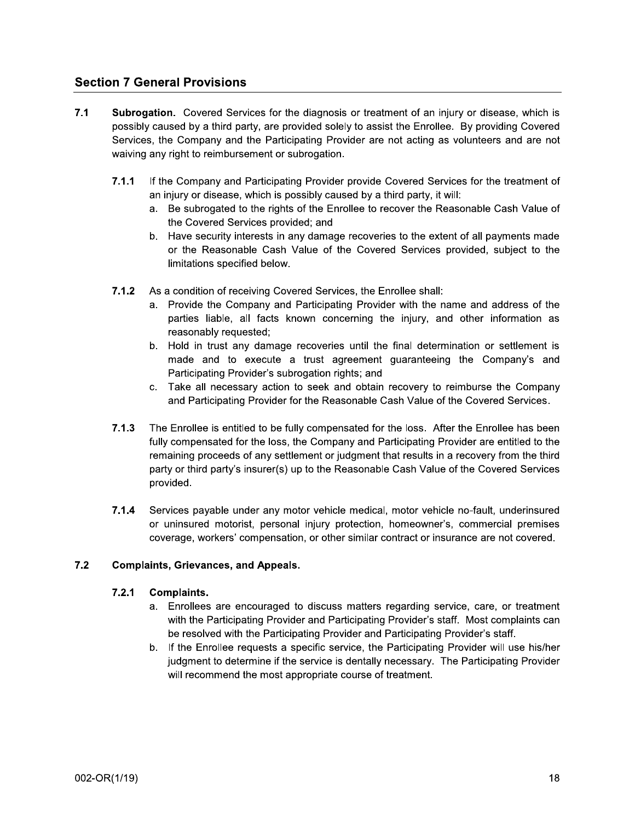## **Section 7 General Provisions**

- $7.1$ Subrogation. Covered Services for the diagnosis or treatment of an injury or disease, which is possibly caused by a third party, are provided solely to assist the Enrollee. By providing Covered Services, the Company and the Participating Provider are not acting as volunteers and are not waiving any right to reimbursement or subrogation.
	- $7.1.1$ If the Company and Participating Provider provide Covered Services for the treatment of an injury or disease, which is possibly caused by a third party, it will:
		- a. Be subrogated to the rights of the Enrollee to recover the Reasonable Cash Value of the Covered Services provided; and
		- b. Have security interests in any damage recoveries to the extent of all payments made or the Reasonable Cash Value of the Covered Services provided, subject to the limitations specified below.
	- As a condition of receiving Covered Services, the Enrollee shall:  $7.1.2$ 
		- Provide the Company and Participating Provider with the name and address of the a. parties liable, all facts known concerning the injury, and other information as reasonably requested;
		- b. Hold in trust any damage recoveries until the final determination or settlement is made and to execute a trust agreement guaranteeing the Company's and Participating Provider's subrogation rights; and
		- c. Take all necessary action to seek and obtain recovery to reimburse the Company and Participating Provider for the Reasonable Cash Value of the Covered Services.
	- $7.1.3$ The Enrollee is entitled to be fully compensated for the loss. After the Enrollee has been fully compensated for the loss, the Company and Participating Provider are entitled to the remaining proceeds of any settlement or judgment that results in a recovery from the third party or third party's insurer(s) up to the Reasonable Cash Value of the Covered Services provided.
	- $7.1.4$ Services payable under any motor vehicle medical, motor vehicle no-fault, underinsured or uninsured motorist, personal injury protection, homeowner's, commercial premises coverage, workers' compensation, or other similar contract or insurance are not covered.

#### $7.2$ **Complaints, Grievances, and Appeals.**

#### $7.2.1$ **Complaints.**

- a. Enrollees are encouraged to discuss matters regarding service, care, or treatment with the Participating Provider and Participating Provider's staff. Most complaints can be resolved with the Participating Provider and Participating Provider's staff.
- b. If the Enrollee requests a specific service, the Participating Provider will use his/her judgment to determine if the service is dentally necessary. The Participating Provider will recommend the most appropriate course of treatment.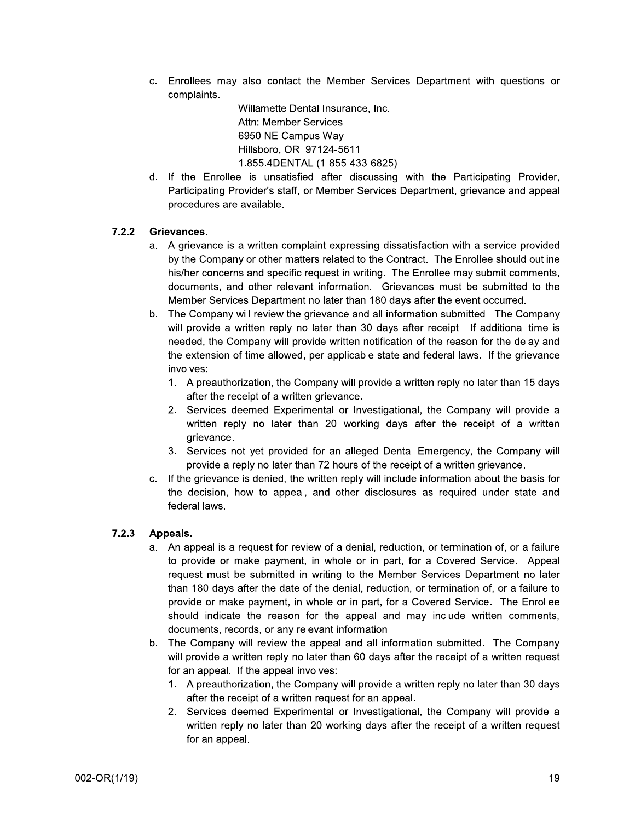c. Enrollees may also contact the Member Services Department with questions or complaints.

Willamette Dental Insurance, Inc. Enrollees may also contact the Member Service<br>
complaints.<br>
Willamette Dental Insurance, Inc.<br>
Attn: Member Services<br>
6950 NE Campus Way<br>
Hillsboro, OR 97124-5611<br>
1.855.4DENTAL (1-855-433-6825)<br>
I. If the Enrollee is unsa Member Services 6950 NE Campus Way Hillsboro, OR 97124-5611 1.855.4DENTAL (1-855-433-6825)

d. If the Enrollee is unsatisfied after discussing with the Participating Provider. Participating Provider's staff, or Member Services Department, grievance and appeal procedures are available.

### 7.2.2 Grievances.

- a. A grievance is a written complaint expressing dissatisfaction with a service provided by the Company or other matters related to the Contract. The Enrollee should outline his/her concerns and specific request in writing. The Enrollee may submit comments. documents, and other relevant information. Grievances must be submitted to the Member Services Department no later than 180 days after the event occurred.
- b. The Company will review the grievance and all information submitted. The Company will provide a written reply no later than 30 days after receipt. If additional time is needed, the Company will provide written notification of the reason for the delay and the extension of time allowed, per applicable state and federal laws. If the grievance his/her concerns and specific request in writing. The Enrollee may submit comments,<br>documents, and other relevant information. Grievances must be submitted to the<br>Member Services Department no later than 180 days after the
	- 1. A preauthorization, the Company will provide a written reply no later than 15 days after the receipt of a written grievance.
	- 2. Services deemed Experimental or Investigational, the Company will provide a written reply no later than 20 working days after the receipt of a written grievance.
	- 3. Services not vet provided for an alleged Dental Emergency, the Company will provide a reply no later than 72 hours of the receipt of a written grievance.
	- c. If the grievance is denied, the written reply will include information about the basis for the decision, how to appeal, and other disclosures as required under state and federal laws.

#### 7.2.3 Appeals.

- a. An appeal is a request for review of a denial, reduction, or termination of, or a failure to provide or make payment, in whole or in part, for a Covered Service. Appeal request must be submitted in writing to the Member Services Department no later than 180 days after the date of the denial, reduction, or termination of, or a failure to provide or make payment, in whole or in part, for a Covered Service. The Enrollee should indicate the reason for the appeal and may include written comments. documents, records, or any relevant information. be submitted in writing to the Member Ser<br>s after the date of the denial, reduction, or te<br>ake payment, in whole or in part, for a Cover<br>te the reason for the appeal and may ir<br>ecords, or any relevant information.<br>y will r
- b. The Company will review the appeal and all information submitted. The Company will provide a written reply no later than 60 days after the receipt of a written request for an appeal. If the appeal in
	- 1. A preauthorization, the Company will provide a written reply no later than 30 days after the receipt of a written request for an appeal.
	- 2. Services deemed Experimental or Investigational, the Company will provide a written reply no later than 20 working days after the receipt of a written request for an appeal.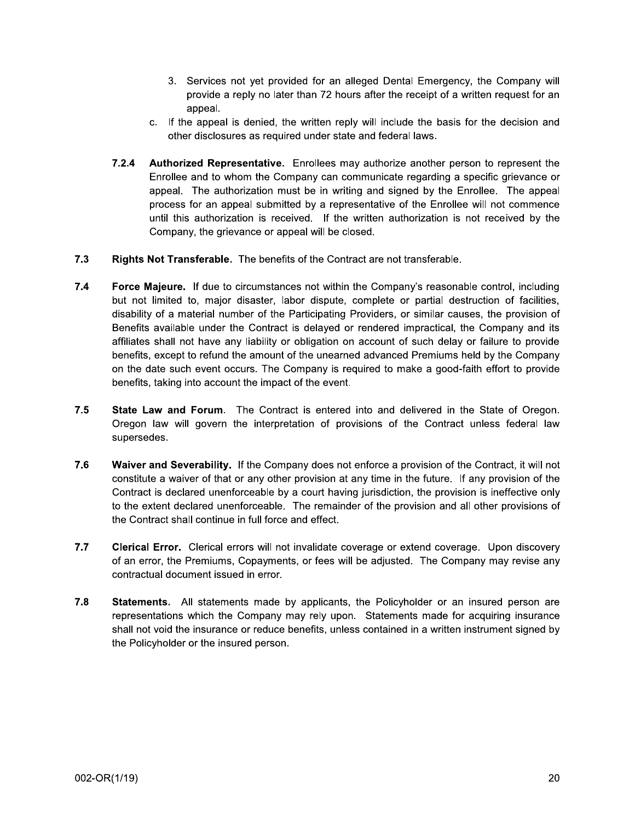- 3. Services not yet provided for an alleged Dental Emergency, the Company will provide a reply no later than 72 hours after the receipt of a written request for an appeal.
- c. If the appeal is denied, the written reply will include the basis for the decision and other disclosures as required under state and federal laws.
- $7.2.4$ Authorized Representative. Enrollees may authorize another person to represent the Enrollee and to whom the Company can communicate regarding a specific grievance or appeal. The authorization must be in writing and signed by the Enrollee. The appeal process for an appeal submitted by a representative of the Enrollee will not commence until this authorization is received. If the written authorization is not received by the Company, the grievance or appeal will be closed.
- $7.3$ Rights Not Transferable. The benefits of the Contract are not transferable.
- $7.4$ Force Majeure. If due to circumstances not within the Company's reasonable control, including but not limited to, major disaster, labor dispute, complete or partial destruction of facilities, disability of a material number of the Participating Providers, or similar causes, the provision of Benefits available under the Contract is delayed or rendered impractical, the Company and its affiliates shall not have any liability or obligation on account of such delay or failure to provide benefits, except to refund the amount of the unearned advanced Premiums held by the Company on the date such event occurs. The Company is required to make a good-faith effort to provide benefits, taking into account the impact of the event.
- $7.5$ State Law and Forum. The Contract is entered into and delivered in the State of Oregon. Oregon law will govern the interpretation of provisions of the Contract unless federal law supersedes.
- $7.6$ Waiver and Severability. If the Company does not enforce a provision of the Contract, it will not constitute a waiver of that or any other provision at any time in the future. If any provision of the Contract is declared unenforceable by a court having jurisdiction, the provision is ineffective only to the extent declared unenforceable. The remainder of the provision and all other provisions of the Contract shall continue in full force and effect.
- $7.7$ Clerical Error. Clerical errors will not invalidate coverage or extend coverage. Upon discovery of an error, the Premiums, Copayments, or fees will be adjusted. The Company may revise any contractual document issued in error.
- 7.8 Statements. All statements made by applicants, the Policyholder or an insured person are representations which the Company may rely upon. Statements made for acquiring insurance shall not void the insurance or reduce benefits, unless contained in a written instrument signed by the Policyholder or the insured person.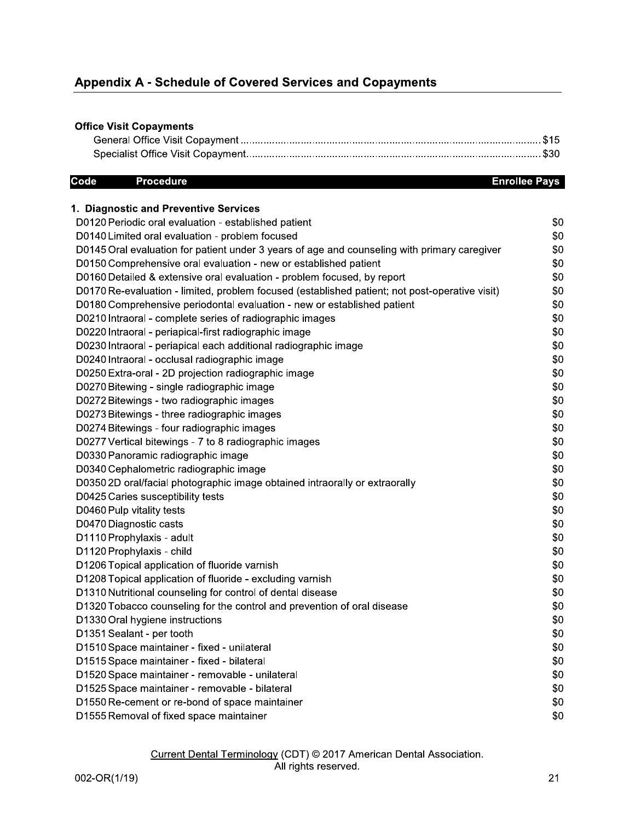# **Appendix A - Schedule of Covered Services and Copayments**

## **Office Visit Copayments**

#### Code **Procedure**

#### **Enrollee Pays**

| 1. Diagnostic and Preventive Services                                                          |     |
|------------------------------------------------------------------------------------------------|-----|
| D0120 Periodic oral evaluation - established patient                                           | \$0 |
| D0140 Limited oral evaluation - problem focused                                                | \$0 |
| D0145 Oral evaluation for patient under 3 years of age and counseling with primary caregiver   | \$0 |
| D0150 Comprehensive oral evaluation - new or established patient                               | \$0 |
| D0160 Detailed & extensive oral evaluation - problem focused, by report                        | \$0 |
| D0170 Re-evaluation - limited, problem focused (established patient; not post-operative visit) | \$0 |
| D0180 Comprehensive periodontal evaluation - new or established patient                        | \$0 |
| D0210 Intraoral - complete series of radiographic images                                       | \$0 |
| D0220 Intraoral - periapical-first radiographic image                                          | \$0 |
| D0230 Intraoral - periapical each additional radiographic image                                | \$0 |
| D0240 Intraoral - occlusal radiographic image                                                  | \$0 |
| D0250 Extra-oral - 2D projection radiographic image                                            | \$0 |
| D0270 Bitewing - single radiographic image                                                     | \$0 |
| D0272 Bitewings - two radiographic images                                                      | \$0 |
| D0273 Bitewings - three radiographic images                                                    | \$0 |
| D0274 Bitewings - four radiographic images                                                     | \$0 |
| D0277 Vertical bitewings - 7 to 8 radiographic images                                          | \$0 |
| D0330 Panoramic radiographic image                                                             | \$0 |
| D0340 Cephalometric radiographic image                                                         | \$0 |
| D0350 2D oral/facial photographic image obtained intraorally or extraorally                    | \$0 |
| D0425 Caries susceptibility tests                                                              | \$0 |
| D0460 Pulp vitality tests                                                                      | \$0 |
| D0470 Diagnostic casts                                                                         | \$0 |
| D1110 Prophylaxis - adult                                                                      | \$0 |
| D1120 Prophylaxis - child                                                                      | \$0 |
| D1206 Topical application of fluoride varnish                                                  | \$0 |
| D1208 Topical application of fluoride - excluding varnish                                      | \$0 |
| D1310 Nutritional counseling for control of dental disease                                     | \$0 |
| D1320 Tobacco counseling for the control and prevention of oral disease                        | \$0 |
| D1330 Oral hygiene instructions                                                                | \$0 |
| D1351 Sealant - per tooth                                                                      | \$0 |
| D1510 Space maintainer - fixed - unilateral                                                    | \$0 |
| D1515 Space maintainer - fixed - bilateral                                                     | \$0 |
| D1520 Space maintainer - removable - unilateral                                                | \$0 |
| D1525 Space maintainer - removable - bilateral                                                 | \$0 |
| D1550 Re-cement or re-bond of space maintainer                                                 | \$0 |
| D1555 Removal of fixed space maintainer                                                        | \$0 |

# Current Dental Terminology (CDT) © 2017 American Dental Association.<br>All rights reserved.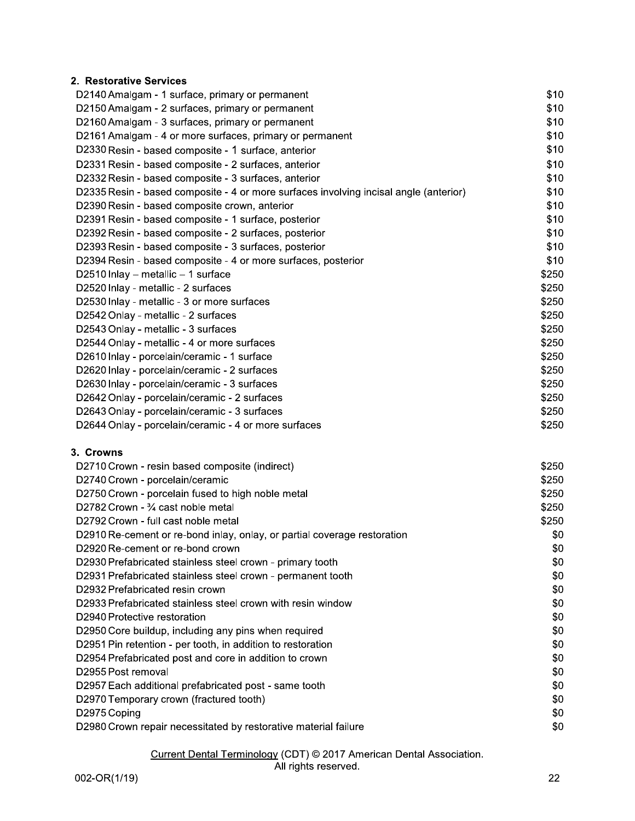## 2. Restorative Services

| D2140 Amalgam - 1 surface, primary or permanent                                       | \$10  |
|---------------------------------------------------------------------------------------|-------|
| D2150 Amalgam - 2 surfaces, primary or permanent                                      | \$10  |
| D2160 Amalgam - 3 surfaces, primary or permanent                                      | \$10  |
| D2161 Amalgam - 4 or more surfaces, primary or permanent                              | \$10  |
| D2330 Resin - based composite - 1 surface, anterior                                   | \$10  |
| D2331 Resin - based composite - 2 surfaces, anterior                                  | \$10  |
| D2332 Resin - based composite - 3 surfaces, anterior                                  | \$10  |
| D2335 Resin - based composite - 4 or more surfaces involving incisal angle (anterior) | \$10  |
| D2390 Resin - based composite crown, anterior                                         | \$10  |
| D2391 Resin - based composite - 1 surface, posterior                                  | \$10  |
| D2392 Resin - based composite - 2 surfaces, posterior                                 | \$10  |
| D2393 Resin - based composite - 3 surfaces, posterior                                 | \$10  |
| D2394 Resin - based composite - 4 or more surfaces, posterior                         | \$10  |
| D2510 Inlay $-$ metallic $-1$ surface                                                 | \$250 |
| D2520 Inlay - metallic - 2 surfaces                                                   | \$250 |
| D2530 Inlay - metallic - 3 or more surfaces                                           | \$250 |
| D2542 Onlay - metallic - 2 surfaces                                                   | \$250 |
| D2543 Onlay - metallic - 3 surfaces                                                   | \$250 |
| D2544 Onlay - metallic - 4 or more surfaces                                           | \$250 |
| D2610 Inlay - porcelain/ceramic - 1 surface                                           | \$250 |
| D2620 Inlay - porcelain/ceramic - 2 surfaces                                          | \$250 |
| D2630 Inlay - porcelain/ceramic - 3 surfaces                                          | \$250 |
| D2642 Onlay - porcelain/ceramic - 2 surfaces                                          | \$250 |
| D2643 Onlay - porcelain/ceramic - 3 surfaces                                          | \$250 |
| D2644 Onlay - porcelain/ceramic - 4 or more surfaces                                  | \$250 |
|                                                                                       |       |

#### 3. Crowns

| D2710 Crown - resin based composite (indirect)                           | \$250 |
|--------------------------------------------------------------------------|-------|
| D2740 Crown - porcelain/ceramic                                          | \$250 |
| D2750 Crown - porcelain fused to high noble metal                        | \$250 |
| D2782 Crown - 34 cast noble metal                                        | \$250 |
| D2792 Crown - full cast noble metal                                      | \$250 |
| D2910 Re-cement or re-bond inlay, onlay, or partial coverage restoration | \$0   |
| D2920 Re-cement or re-bond crown                                         | \$0   |
| D2930 Prefabricated stainless steel crown - primary tooth                | \$0   |
| D2931 Prefabricated stainless steel crown - permanent tooth              | \$0   |
| D2932 Prefabricated resin crown                                          | \$0   |
| D2933 Prefabricated stainless steel crown with resin window              | \$0   |
| D2940 Protective restoration                                             | \$0   |
| D2950 Core buildup, including any pins when required                     | \$0   |
| D2951 Pin retention - per tooth, in addition to restoration              | \$0   |
| D2954 Prefabricated post and core in addition to crown                   | \$0   |
| D2955 Post removal                                                       | \$0   |
| D2957 Each additional prefabricated post - same tooth                    | \$0   |
| D2970 Temporary crown (fractured tooth)                                  | \$0   |
| D2975 Coping                                                             | \$0   |
| D2980 Crown repair necessitated by restorative material failure          | \$0   |
|                                                                          |       |

# Current Dental Terminology (CDT) © 2017 American Dental Association.<br>All rights reserved.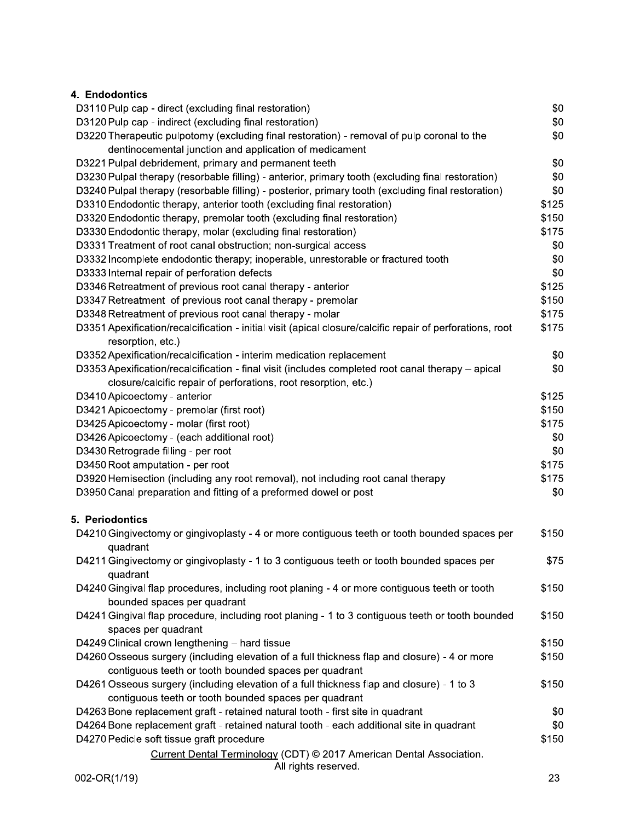## 4. Endodontics

| D3110 Pulp cap - direct (excluding final restoration)                                                     | \$0   |
|-----------------------------------------------------------------------------------------------------------|-------|
| D3120 Pulp cap - indirect (excluding final restoration)                                                   | \$0   |
| D3220 Therapeutic pulpotomy (excluding final restoration) - removal of pulp coronal to the                | \$0   |
| dentinocemental junction and application of medicament                                                    |       |
| D3221 Pulpal debridement, primary and permanent teeth                                                     | \$0   |
| D3230 Pulpal therapy (resorbable filling) - anterior, primary tooth (excluding final restoration)         | \$0   |
| D3240 Pulpal therapy (resorbable filling) - posterior, primary tooth (excluding final restoration)        | \$0   |
| D3310 Endodontic therapy, anterior tooth (excluding final restoration)                                    | \$125 |
| D3320 Endodontic therapy, premolar tooth (excluding final restoration)                                    | \$150 |
| D3330 Endodontic therapy, molar (excluding final restoration)                                             | \$175 |
| D3331 Treatment of root canal obstruction; non-surgical access                                            | \$0   |
| D3332 Incomplete endodontic therapy; inoperable, unrestorable or fractured tooth                          | \$0   |
| D3333 Internal repair of perforation defects                                                              | \$0   |
| D3346 Retreatment of previous root canal therapy - anterior                                               | \$125 |
| D3347 Retreatment of previous root canal therapy - premolar                                               | \$150 |
| D3348 Retreatment of previous root canal therapy - molar                                                  | \$175 |
|                                                                                                           | \$175 |
| D3351 Apexification/recalcification - initial visit (apical closure/calcific repair of perforations, root |       |
| resorption, etc.)                                                                                         |       |
| D3352 Apexification/recalcification - interim medication replacement                                      | \$0   |
| D3353 Apexification/recalcification - final visit (includes completed root canal therapy - apical         | \$0   |
| closure/calcific repair of perforations, root resorption, etc.)                                           |       |
| D3410 Apicoectomy - anterior                                                                              | \$125 |
| D3421 Apicoectomy - premolar (first root)                                                                 | \$150 |
| D3425 Apicoectomy - molar (first root)                                                                    | \$175 |
| D3426 Apicoectomy - (each additional root)                                                                | \$0   |
| D3430 Retrograde filling - per root                                                                       | \$0   |
| D3450 Root amputation - per root                                                                          | \$175 |
| D3920 Hemisection (including any root removal), not including root canal therapy                          | \$175 |
| D3950 Canal preparation and fitting of a preformed dowel or post                                          | \$0   |
| 5. Periodontics                                                                                           |       |
| D4210 Gingivectomy or gingivoplasty - 4 or more contiguous teeth or tooth bounded spaces per              | \$150 |
|                                                                                                           |       |
| quadrant                                                                                                  |       |
| D4211 Gingivectomy or gingivoplasty - 1 to 3 contiguous teeth or tooth bounded spaces per                 | \$75  |
| quadrant                                                                                                  |       |
| D4240 Gingival flap procedures, including root planing - 4 or more contiguous teeth or tooth              | \$150 |
| bounded spaces per quadrant                                                                               |       |
| D4241 Gingival flap procedure, including root planing - 1 to 3 contiguous teeth or tooth bounded          | \$150 |
| spaces per quadrant                                                                                       |       |
| D4249 Clinical crown lengthening - hard tissue                                                            | \$150 |
| D4260 Osseous surgery (including elevation of a full thickness flap and closure) - 4 or more              | \$150 |
| contiguous teeth or tooth bounded spaces per quadrant                                                     |       |
| D4261 Osseous surgery (including elevation of a full thickness flap and closure) - 1 to 3                 | \$150 |
| contiguous teeth or tooth bounded spaces per quadrant                                                     |       |
| D4263 Bone replacement graft - retained natural tooth - first site in quadrant                            | \$0   |
| D4264 Bone replacement graft - retained natural tooth - each additional site in quadrant                  | \$0   |
| D4270 Pedicle soft tissue graft procedure                                                                 | \$150 |
| Current Dental Terminology (CDT) © 2017 American Dental Association.<br>All rights reserved.              |       |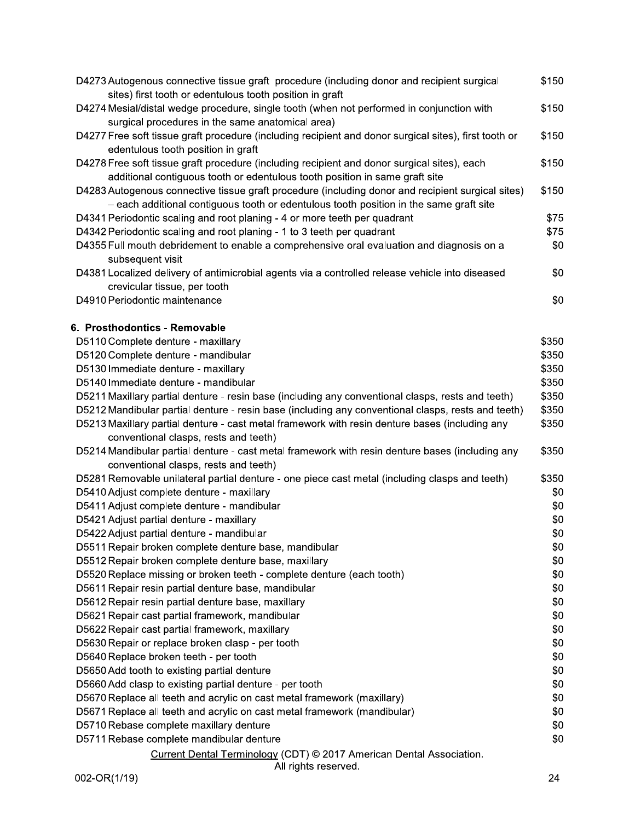| D4273 Autogenous connective tissue graft procedure (including donor and recipient surgical<br>sites) first tooth or edentulous tooth position in graft | \$150 |
|--------------------------------------------------------------------------------------------------------------------------------------------------------|-------|
| D4274 Mesial/distal wedge procedure, single tooth (when not performed in conjunction with                                                              | \$150 |
| surgical procedures in the same anatomical area)                                                                                                       |       |
| D4277 Free soft tissue graft procedure (including recipient and donor surgical sites), first tooth or                                                  | \$150 |
| edentulous tooth position in graft                                                                                                                     |       |
| D4278 Free soft tissue graft procedure (including recipient and donor surgical sites), each                                                            | \$150 |
| additional contiguous tooth or edentulous tooth position in same graft site                                                                            |       |
| D4283 Autogenous connective tissue graft procedure (including donor and recipient surgical sites)                                                      | \$150 |
| - each additional contiguous tooth or edentulous tooth position in the same graft site                                                                 |       |
| D4341 Periodontic scaling and root planing - 4 or more teeth per quadrant                                                                              | \$75  |
| D4342 Periodontic scaling and root planing - 1 to 3 teeth per quadrant                                                                                 | \$75  |
| D4355 Full mouth debridement to enable a comprehensive oral evaluation and diagnosis on a                                                              | \$0   |
| subsequent visit                                                                                                                                       |       |
| D4381 Localized delivery of antimicrobial agents via a controlled release vehicle into diseased                                                        | \$0   |
| crevicular tissue, per tooth                                                                                                                           |       |
| D4910 Periodontic maintenance                                                                                                                          | \$0   |
|                                                                                                                                                        |       |
| 6. Prosthodontics - Removable                                                                                                                          |       |
| D5110 Complete denture - maxillary                                                                                                                     | \$350 |
| D5120 Complete denture - mandibular                                                                                                                    | \$350 |
| D5130 Immediate denture - maxillary                                                                                                                    | \$350 |
| D5140 Immediate denture - mandibular                                                                                                                   | \$350 |
| D5211 Maxillary partial denture - resin base (including any conventional clasps, rests and teeth)                                                      | \$350 |
| D5212 Mandibular partial denture - resin base (including any conventional clasps, rests and teeth)                                                     | \$350 |
| D5213 Maxillary partial denture - cast metal framework with resin denture bases (including any                                                         | \$350 |
| conventional clasps, rests and teeth)                                                                                                                  |       |
| D5214 Mandibular partial denture - cast metal framework with resin denture bases (including any                                                        | \$350 |
| conventional clasps, rests and teeth)                                                                                                                  |       |
| D5281 Removable unilateral partial denture - one piece cast metal (including clasps and teeth)                                                         | \$350 |
| D5410 Adjust complete denture - maxillary                                                                                                              | \$0   |
| D5411 Adjust complete denture - mandibular                                                                                                             | \$0   |
| D5421 Adjust partial denture - maxillary                                                                                                               | \$0   |
| D5422 Adjust partial denture - mandibular                                                                                                              | \$0   |
| D5511 Repair broken complete denture base, mandibular                                                                                                  | \$0   |
| D5512 Repair broken complete denture base, maxillary                                                                                                   | \$0   |
| D5520 Replace missing or broken teeth - complete denture (each tooth)                                                                                  | \$0   |
| D5611 Repair resin partial denture base, mandibular                                                                                                    | \$0   |
| D5612 Repair resin partial denture base, maxillary                                                                                                     | \$0   |
| D5621 Repair cast partial framework, mandibular                                                                                                        | \$0   |
| D5622 Repair cast partial framework, maxillary                                                                                                         | \$0   |
| D5630 Repair or replace broken clasp - per tooth                                                                                                       | \$0   |
| D5640 Replace broken teeth - per tooth                                                                                                                 | \$0   |
| D5650 Add tooth to existing partial denture                                                                                                            | \$0   |
| D5660 Add clasp to existing partial denture - per tooth                                                                                                | \$0   |
| D5670 Replace all teeth and acrylic on cast metal framework (maxillary)                                                                                | \$0   |
| D5671 Replace all teeth and acrylic on cast metal framework (mandibular)                                                                               | \$0   |
| D5710 Rebase complete maxillary denture                                                                                                                | \$0   |
| D5711 Rebase complete mandibular denture                                                                                                               | \$0   |
| Current Dental Terminology (CDT) © 2017 American Dental Association.<br>All rights reserved.                                                           |       |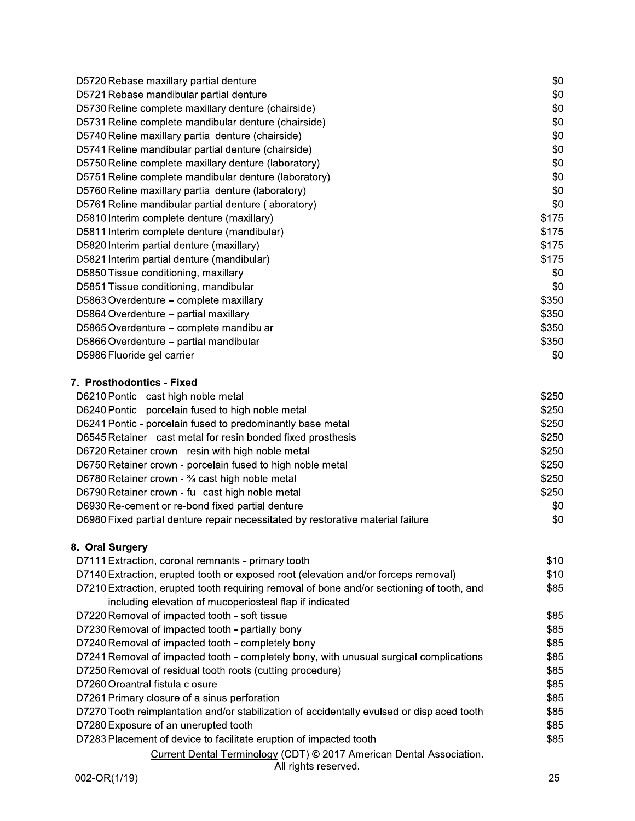| D5720 Rebase maxillary partial denture                     | \$0   |
|------------------------------------------------------------|-------|
| D5721 Rebase mandibular partial denture                    | \$0   |
| D5730 Reline complete maxillary denture (chairside)        | \$0   |
| D5731 Reline complete mandibular denture (chairside)       | \$0   |
| D5740 Reline maxillary partial denture (chairside)         | \$0   |
| D5741 Reline mandibular partial denture (chairside)        | \$0   |
| D5750 Reline complete maxillary denture (laboratory)       | \$0   |
| D5751 Reline complete mandibular denture (laboratory)      | \$0   |
| D5760 Reline maxillary partial denture (laboratory)        | \$0   |
| D5761 Reline mandibular partial denture (laboratory)       | \$0   |
| D5810 Interim complete denture (maxillary)                 | \$175 |
| D5811 Interim complete denture (mandibular)                | \$175 |
| D5820 Interim partial denture (maxillary)                  | \$175 |
| D5821 Interim partial denture (mandibular)                 | \$175 |
| D5850 Tissue conditioning, maxillary                       | \$0   |
| D5851 Tissue conditioning, mandibular                      | \$0   |
| D5863 Overdenture - complete maxillary                     | \$350 |
| D5864 Overdenture - partial maxillary                      | \$350 |
| D5865 Overdenture – complete mandibular                    | \$350 |
| D5866 Overdenture - partial mandibular                     | \$350 |
| D5986 Fluoride gel carrier                                 | \$0   |
| 7. Prosthodontics - Fixed                                  |       |
| D6210 Pontic - cast high noble metal                       | \$250 |
| D6240 Pontic - porcelain fused to high noble metal         | \$250 |
| D6241 Pontic - porcelain fused to predominantly base metal | \$250 |
|                                                            |       |

| D6545 Retainer - cast metal for resin bonded fixed prosthesis                   | \$250     |
|---------------------------------------------------------------------------------|-----------|
| D6720 Retainer crown - resin with high noble metal                              | \$250     |
| D6750 Retainer crown - porcelain fused to high noble metal                      | \$250     |
| D6780 Retainer crown - 34 cast high noble metal                                 | \$250     |
| D6790 Retainer crown - full cast high noble metal                               | \$250     |
| D6930 Re-cement or re-bond fixed partial denture                                | <b>SO</b> |
| D6980 Fixed partial denture repair necessitated by restorative material failure | \$0       |
|                                                                                 |           |

# 8. Oral Surgery

| D7111 Extraction, coronal remnants - primary tooth                                           | \$10 |
|----------------------------------------------------------------------------------------------|------|
| D7140 Extraction, erupted tooth or exposed root (elevation and/or forceps removal)           | \$10 |
| D7210 Extraction, erupted tooth requiring removal of bone and/or sectioning of tooth, and    | \$85 |
| including elevation of mucoperiosteal flap if indicated                                      |      |
| D7220 Removal of impacted tooth - soft tissue                                                | \$85 |
| D7230 Removal of impacted tooth - partially bony                                             | \$85 |
| D7240 Removal of impacted tooth - completely bony                                            | \$85 |
| D7241 Removal of impacted tooth - completely bony, with unusual surgical complications       | \$85 |
| D7250 Removal of residual tooth roots (cutting procedure)                                    | \$85 |
| D7260 Oroantral fistula closure                                                              | \$85 |
| D7261 Primary closure of a sinus perforation                                                 | \$85 |
| D7270 Tooth reimplantation and/or stabilization of accidentally evulsed or displaced tooth   | \$85 |
| D7280 Exposure of an unerupted tooth                                                         | \$85 |
| D7283 Placement of device to facilitate eruption of impacted tooth                           | \$85 |
| Current Dental Terminology (CDT) © 2017 American Dental Association.<br>All rights reserved. |      |
|                                                                                              |      |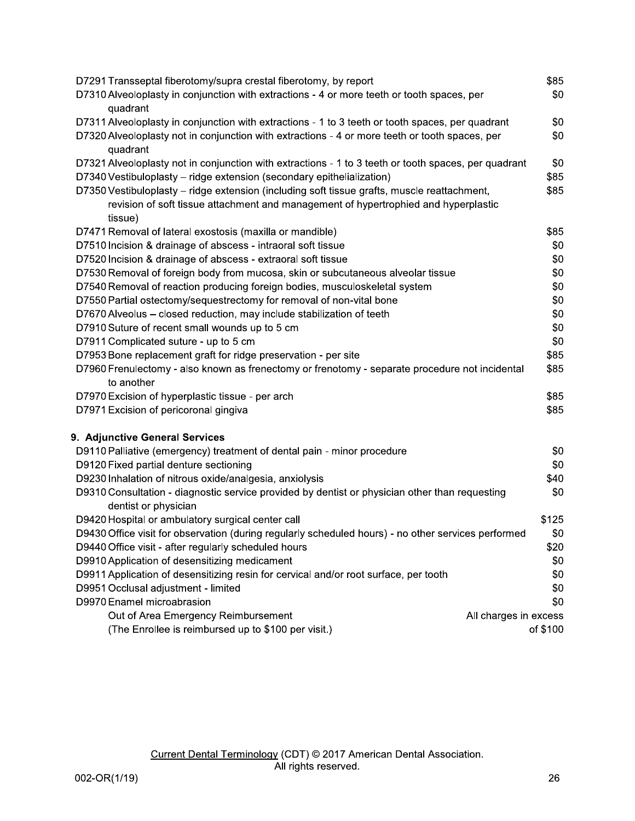| D7291 Transseptal fiberotomy/supra crestal fiberotomy, by report                                             | \$85     |
|--------------------------------------------------------------------------------------------------------------|----------|
| D7310 Alveoloplasty in conjunction with extractions - 4 or more teeth or tooth spaces, per                   | \$0      |
| quadrant                                                                                                     |          |
| D7311 Alveoloplasty in conjunction with extractions - 1 to 3 teeth or tooth spaces, per quadrant             | \$0      |
| D7320 Alveoloplasty not in conjunction with extractions - 4 or more teeth or tooth spaces, per               | \$0      |
| quadrant                                                                                                     |          |
| D7321 Alveoloplasty not in conjunction with extractions - 1 to 3 teeth or tooth spaces, per quadrant         | \$0      |
| D7340 Vestibuloplasty - ridge extension (secondary epithelialization)                                        | \$85     |
| D7350 Vestibuloplasty - ridge extension (including soft tissue grafts, muscle reattachment,                  | \$85     |
| revision of soft tissue attachment and management of hypertrophied and hyperplastic                          |          |
| tissue)                                                                                                      |          |
| D7471 Removal of lateral exostosis (maxilla or mandible)                                                     | \$85     |
| D7510 Incision & drainage of abscess - intraoral soft tissue                                                 | \$0      |
| D7520 Incision & drainage of abscess - extraoral soft tissue                                                 | \$0      |
| D7530 Removal of foreign body from mucosa, skin or subcutaneous alveolar tissue                              | \$0      |
| D7540 Removal of reaction producing foreign bodies, musculoskeletal system                                   | \$0      |
| D7550 Partial ostectomy/sequestrectomy for removal of non-vital bone                                         | \$0      |
| D7670 Alveolus - closed reduction, may include stabilization of teeth                                        | \$0      |
| D7910 Suture of recent small wounds up to 5 cm                                                               | \$0      |
| D7911 Complicated suture - up to 5 cm                                                                        | \$0      |
| D7953 Bone replacement graft for ridge preservation - per site                                               | \$85     |
| D7960 Frenulectomy - also known as frenectomy or frenotomy - separate procedure not incidental<br>to another | \$85     |
| D7970 Excision of hyperplastic tissue - per arch                                                             | \$85     |
| D7971 Excision of pericoronal gingiva                                                                        | \$85     |
| 9. Adjunctive General Services                                                                               |          |
| D9110 Palliative (emergency) treatment of dental pain - minor procedure                                      | \$0      |
| D9120 Fixed partial denture sectioning                                                                       | \$0      |
| D9230 Inhalation of nitrous oxide/analgesia, anxiolysis                                                      | \$40     |
| D9310 Consultation - diagnostic service provided by dentist or physician other than requesting               | \$0      |
| dentist or physician                                                                                         |          |
| D9420 Hospital or ambulatory surgical center call                                                            | \$125    |
| D9430 Office visit for observation (during regularly scheduled hours) - no other services performed          | \$0      |
| D9440 Office visit - after regularly scheduled hours                                                         | \$20     |
| D9910 Application of desensitizing medicament                                                                | \$0      |
| D9911 Application of desensitizing resin for cervical and/or root surface, per tooth                         | \$0      |
| D9951 Occlusal adjustment - limited                                                                          | \$0      |
| D9970 Enamel microabrasion                                                                                   | \$0      |
| Out of Area Emergency Reimbursement<br>All charges in excess                                                 |          |
| (The Enrollee is reimbursed up to \$100 per visit.)                                                          | of \$100 |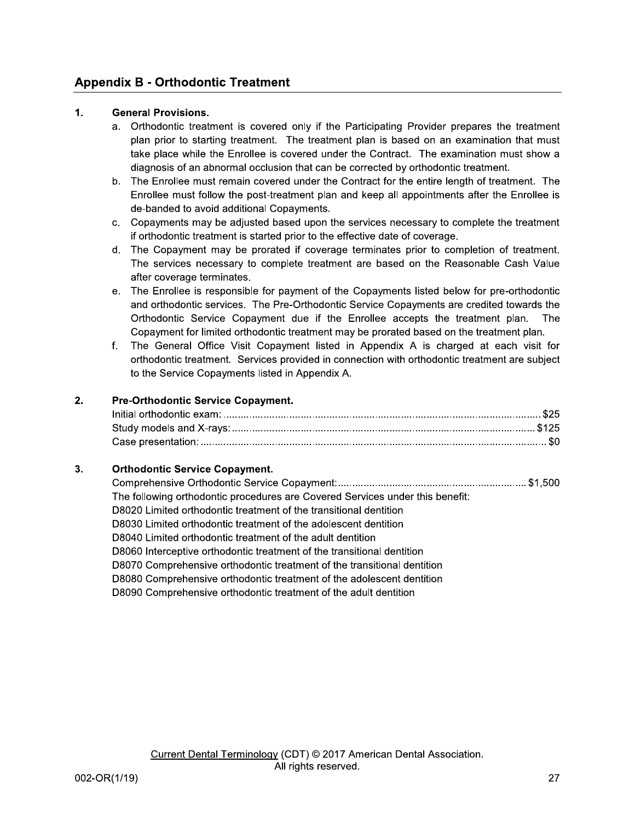## **Appendix B - Orthodontic Treatment**

#### $1.$ **General Provisions.**

- a. Orthodontic treatment is covered only if the Participating Provider prepares the treatment plan prior to starting treatment. The treatment plan is based on an examination that must take place while the Enrollee is covered under the Contract. The examination must show a diagnosis of an abnormal occlusion that can be corrected by orthodontic treatment.
- b. The Enrollee must remain covered under the Contract for the entire length of treatment. The Enrollee must follow the post-treatment plan and keep all appointments after the Enrollee is de-banded to avoid additional Copayments.
- c. Copayments may be adjusted based upon the services necessary to complete the treatment if orthodontic treatment is started prior to the effective date of coverage.
- d. The Copayment may be prorated if coverage terminates prior to completion of treatment. The services necessary to complete treatment are based on the Reasonable Cash Value after coverage terminates.
- e. The Enrollee is responsible for payment of the Copayments listed below for pre-orthodontic and orthodontic services. The Pre-Orthodontic Service Copayments are credited towards the Orthodontic Service Copayment due if the Enrollee accepts the treatment plan. The Copayment for limited orthodontic treatment may be prorated based on the treatment plan.
- f. The General Office Visit Copayment listed in Appendix A is charged at each visit for orthodontic treatment. Services provided in connection with orthodontic treatment are subject to the Service Copayments listed in Appendix A.

#### $2.$ Pre-Orthodontic Service Copayment.

#### $3<sub>1</sub>$ **Orthodontic Service Copayment.**

| The following orthodontic procedures are Covered Services under this benefit: |  |
|-------------------------------------------------------------------------------|--|
| D8020 Limited orthodontic treatment of the transitional dentition             |  |
| D8030 Limited orthodontic treatment of the adolescent dentition               |  |
| D8040 Limited orthodontic treatment of the adult dentition                    |  |
| D8060 Interceptive orthodontic treatment of the transitional dentition        |  |
| D8070 Comprehensive orthodontic treatment of the transitional dentition       |  |
| D8080 Comprehensive orthodontic treatment of the adolescent dentition         |  |
| D8090 Comprehensive orthodontic treatment of the adult dentition              |  |
|                                                                               |  |